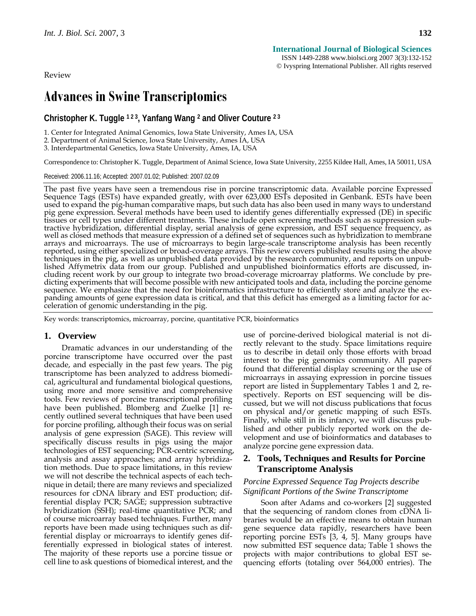Review

# **Advances in Swine Transcriptomics**

**Christopher K. Tuggle 1 2 3, Yanfang Wang 2 and Oliver Couture 2 3**

1. Center for Integrated Animal Genomics, Iowa State University, Ames IA, USA

2. Department of Animal Science, Iowa State University, Ames IA, USA

3. Interdepartmental Genetics, Iowa State University, Ames, IA, USA

Correspondence to: Christopher K. Tuggle, Department of Animal Science, Iowa State University, 2255 Kildee Hall, Ames, IA 50011, USA

Received: 2006.11.16; Accepted: 2007.01.02; Published: 2007.02.09

The past five years have seen a tremendous rise in porcine transcriptomic data. Available porcine Expressed Sequence Tags (ESTs) have expanded greatly, with over 623,000 ESTs deposited in Genbank. ESTs have been used to expand the pig-human comparative maps, but such data has also been used in many ways to understand pig gene expression. Several methods have been used to identify genes differentially expressed (DE) in specific tissues or cell types under different treatments. These include open screening methods such as suppression subtractive hybridization, differential display, serial analysis of gene expression, and EST sequence frequency, as well as closed methods that measure expression of a defined set of sequences such as hybridization to membrane arrays and microarrays. The use of microarrays to begin large-scale transcriptome analysis has been recently techniques in the pig, as well as unpublished data provided by the research community, and reports on unpub-<br>lished Affymetrix data from our group. Published and unpublished bioinformatics efforts are discussed, including recent work by our group to integrate two broad-coverage microarray platforms. We conclude by pre- dicting experiments that will become possible with new anticipated tools and data, including the porcine genome sequence. We emphasize that the need for bioinformatics infrastructure to efficiently store and analyze the expanding amounts of gene expression data is critical, and that this deficit has emerged as a limiting factor for acceleration of genomic understanding in the pig.

Key words: transcriptomics, microarray, porcine, quantitative PCR, bioinformatics

#### **1. Overview**

Dramatic advances in our understanding of the porcine transcriptome have occurred over the past decade, and especially in the past few years. The pig transcriptome has been analyzed to address biomedical, agricultural and fundamental biological questions, using more and more sensitive and comprehensive tools. Few reviews of porcine transcriptional profiling have been published. Blomberg and Zuelke [1] recently outlined several techniques that have been used for porcine profiling, although their focus was on serial analysis of gene expression (SAGE). This review will specifically discuss results in pigs using the major technologies of EST sequencing; PCR-centric screening, analysis and assay approaches; and array hybridization methods. Due to space limitations, in this review we will not describe the technical aspects of each technique in detail; there are many reviews and specialized resources for cDNA library and EST production; differential display PCR; SAGE; suppression subtractive hybridization (SSH); real-time quantitative PCR; and of course microarray based techniques. Further, many reports have been made using techniques such as differential display or microarrays to identify genes differentially expressed in biological states of interest. The majority of these reports use a porcine tissue or cell line to ask questions of biomedical interest, and the use of porcine-derived biological material is not directly relevant to the study. Space limitations require us to describe in detail only those efforts with broad interest to the pig genomics community. All papers found that differential display screening or the use of microarrays in assaying expression in porcine tissues report are listed in Supplementary Tables 1 and 2, respectively. Reports on EST sequencing will be discussed, but we will not discuss publications that focus on physical and/or genetic mapping of such ESTs. Finally, while still in its infancy, we will discuss published and other publicly reported work on the development and use of bioinformatics and databases to analyze porcine gene expression data.

## **2. Tools, Techniques and Results for Porcine Transcriptome Analysis**

## *Porcine Expressed Sequence Tag Projects describe Significant Portions of the Swine Transcriptome*

Soon after Adams and co-workers [2] suggested that the sequencing of random clones from cDNA libraries would be an effective means to obtain human gene sequence data rapidly, researchers have been reporting porcine ESTs [3, 4, 5]. Many groups have now submitted EST sequence data; Table 1 shows the projects with major contributions to global EST sequencing efforts (totaling over 564,000 entries). The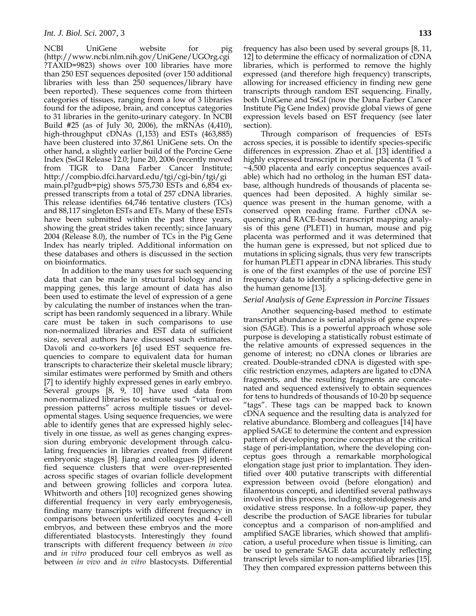NCBI UniGene website for pig (http://www.ncbi.nlm.nih.gov/UniGene/UGOrg.cgi ?TAXID=9823) shows over 100 libraries have more than 250 EST sequences deposited (over 150 additional libraries with less than 250 sequences/library have been reported). These sequences come from thirteen categories of tissues, ranging from a low of 3 libraries found for the adipose, brain, and conceptus categories to 31 libraries in the genito-urinary category. In NCBI Build #25 (as of July 30, 2006), the mRNAs (4,410), high-throughput cDNAs (1,153) and ESTs (463,885) have been clustered into 37,861 UniGene sets. On the other hand, a slightly earlier build of the Porcine Gene Index (SsGI Release 12.0; June 20, 2006 (recently moved from TIGR to Dana Farber Cancer Institute; http://compbio.dfci.harvard.edu/tgi/cgi-bin/tgi/gi main.pl?gudb=pig) shows 575,730 ESTs and 6,854 expressed transcripts from a total of 257 cDNA libraries. This release identifies 64,746 tentative clusters (TCs) and 88,117 singleton ESTs and ETs. Many of these ESTs have been submitted within the past three years, showing the great strides taken recently; since January 2004 (Release 8.0), the number of TCs in the Pig Gene Index has nearly tripled. Additional information on these databases and others is discussed in the section on bioinformatics.

In addition to the many uses for such sequencing data that can be made in structural biology and in mapping genes, this large amount of data has also been used to estimate the level of expression of a gene by calculating the number of instances when the transcript has been randomly sequenced in a library. While care must be taken in such comparisons to use non-normalized libraries and EST data of sufficient size, several authors have discussed such estimates. Davoli and co-workers [6] used EST sequence frequencies to compare to equivalent data for human transcripts to characterize their skeletal muscle library; similar estimates were performed by Smith and others [7] to identify highly expressed genes in early embryo. Several groups [8, 9, 10] have used data from non-normalized libraries to estimate such "virtual expression patterns" across multiple tissues or developmental stages. Using sequence frequencies, we were able to identify genes that are expressed highly selectively in one tissue, as well as genes changing expression during embryonic development through calculating frequencies in libraries created from different embryonic stages [8]. Jiang and colleagues [9] identified sequence clusters that were over-represented across specific stages of ovarian follicle development and between growing follicles and corpora lutea. Whitworth and others [10] recognized genes showing differential frequency in very early embryogenesis, finding many transcripts with different frequency in comparisons between unfertilized oocytes and 4-cell embryos, and between these embryos and the more differentiated blastocysts. Interestingly they found transcripts with different frequency between *in vivo* and *in vitro* produced four cell embryos as well as between *in vivo* and *in vitro* blastocysts. Differential frequency has also been used by several groups [8, 11, 12] to determine the efficacy of normalization of cDNA libraries, which is performed to remove the highly expressed (and therefore high frequency) transcripts, allowing for increased efficiency in finding new gene transcripts through random EST sequencing. Finally, both UniGene and SsGI (now the Dana Farber Cancer Institute Pig Gene Index) provide global views of gene expression levels based on EST frequency (see later section).

Through comparison of frequencies of ESTs across species, it is possible to identify species-specific differences in expression. Zhao et al. [13] identified a highly expressed transcript in porcine placenta (1 % of ~4,500 placenta and early conceptus sequences available) which had no ortholog in the human EST database, although hundreds of thousands of placenta sequences had been deposited. A highly similar sequence was present in the human genome, with a conserved open reading frame. Further cDNA sequencing and RACE-based transcript mapping analysis of this gene (PLET1) in human, mouse and pig placenta was performed and it was determined that the human gene is expressed, but not spliced due to mutations in splicing signals, thus very few transcripts for human PLET1 appear in cDNA libraries. This study is one of the first examples of the use of porcine EST frequency data to identify a splicing-defective gene in the human genome [13].

#### *Serial Analysis of Gene Expression in Porcine Tissues*

Another sequencing-based method to estimate transcript abundance is serial analysis of gene expression (SAGE). This is a powerful approach whose sole purpose is developing a statistically robust estimate of the relative amounts of expressed sequences in the genome of interest; no cDNA clones or libraries are created. Double-stranded cDNA is digested with specific restriction enzymes, adapters are ligated to cDNA fragments, and the resulting fragments are concatenated and sequenced extensively to obtain sequences for tens to hundreds of thousands of 10-20 bp sequence "tags". These tags can be mapped back to known cDNA sequence and the resulting data is analyzed for relative abundance. Blomberg and colleagues [14] have applied SAGE to determine the content and expression pattern of developing porcine conceptus at the critical stage of peri-implantation, where the developing conceptus goes through a remarkable morphological elongation stage just prior to implantation. They identified over 400 putative transcripts with differential expression between ovoid (before elongation) and filamentous concepti, and identified several pathways involved in this process, including steroidogenesis and oxidative stress response. In a follow-up paper, they describe the production of SAGE libraries for tubular conceptus and a comparison of non-amplified and amplified SAGE libraries, which showed that amplification, a useful procedure when tissue is limiting, can be used to generate SAGE data accurately reflecting transcript levels similar to non-amplified libraries [15]. They then compared expression patterns between this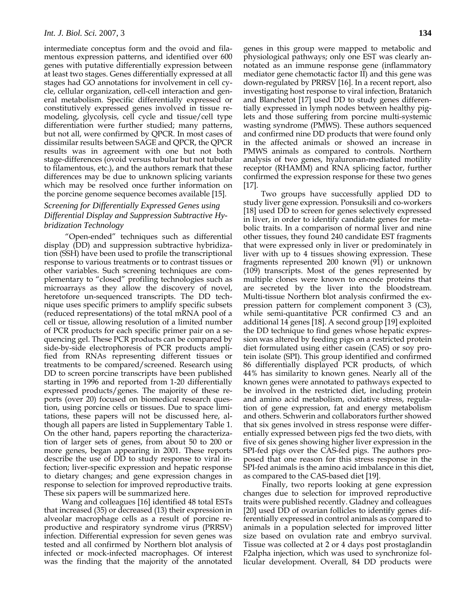intermediate conceptus form and the ovoid and filamentous expression patterns, and identified over 600 genes with putative differentially expression between at least two stages. Genes differentially expressed at all stages had GO annotations for involvement in cell cycle, cellular organization, cell-cell interaction and general metabolism. Specific differentially expressed or constitutively expressed genes involved in tissue remodeling, glycolysis, cell cycle and tissue/cell type differentiation were further studied; many patterns, but not all, were confirmed by QPCR. In most cases of dissimilar results between SAGE and QPCR, the QPCR results was in agreement with one but not both stage-differences (ovoid versus tubular but not tubular to filamentous, etc.), and the authors remark that these differences may be due to unknown splicing variants which may be resolved once further information on the porcine genome sequence becomes available [15].

## *Screening for Differentially Expressed Genes using Differential Display and Suppression Subtractive Hybridization Technology*

 "Open-ended" techniques such as differential display (DD) and suppression subtractive hybridization (SSH) have been used to profile the transcriptional response to various treatments or to contrast tissues or other variables. Such screening techniques are complementary to "closed" profiling technologies such as microarrays as they allow the discovery of novel, heretofore un-sequenced transcripts. The DD technique uses specific primers to amplify specific subsets (reduced representations) of the total mRNA pool of a cell or tissue, allowing resolution of a limited number of PCR products for each specific primer pair on a sequencing gel. These PCR products can be compared by side-by-side electrophoresis of PCR products amplified from RNAs representing different tissues or treatments to be compared/screened. Research using DD to screen porcine transcripts have been published starting in 1996 and reported from 1-20 differentially expressed products/genes. The majority of these reports (over 20) focused on biomedical research question, using porcine cells or tissues. Due to space limitations, these papers will not be discussed here, although all papers are listed in Supplementary Table 1. On the other hand, papers reporting the characterization of larger sets of genes, from about 50 to 200 or more genes, began appearing in 2001. These reports describe the use of DD to study response to viral infection; liver-specific expression and hepatic response to dietary changes; and gene expression changes in response to selection for improved reproductive traits. These six papers will be summarized here.

Wang and colleagues [16] identified 48 total ESTs that increased (35) or decreased (13) their expression in alveolar macrophage cells as a result of porcine reproductive and respiratory syndrome virus (PRRSV) infection. Differential expression for seven genes was tested and all confirmed by Northern blot analysis of infected or mock-infected macrophages. Of interest was the finding that the majority of the annotated genes in this group were mapped to metabolic and physiological pathways; only one EST was clearly annotated as an immune response gene (inflammatory mediator gene chemotactic factor II) and this gene was down-regulated by PRRSV [16]. In a recent report, also investigating host response to viral infection, Bratanich and Blanchetot [17] used DD to study genes differentially expressed in lymph nodes between healthy piglets and those suffering from porcine multi-systemic wasting syndrome (PMWS). These authors sequenced and confirmed nine DD products that were found only in the affected animals or showed an increase in PMWS animals as compared to controls. Northern analysis of two genes, hyaluronan-mediated motility receptor (RHAMM) and RNA splicing factor, further confirmed the expression response for these two genes [17].

Two groups have successfully applied DD to study liver gene expression. Ponsuksili and co-workers [18] used DD to screen for genes selectively expressed in liver, in order to identify candidate genes for metabolic traits. In a comparison of normal liver and nine other tissues, they found 240 candidate EST fragments that were expressed only in liver or predominately in liver with up to 4 tissues showing expression. These fragments represented 200 known (91) or unknown (109) transcripts. Most of the genes represented by multiple clones were known to encode proteins that are secreted by the liver into the bloodstream. Multi-tissue Northern blot analysis confirmed the expression pattern for complement component 3 (C3), while semi-quantitative PCR confirmed C3 and an additional 14 genes [18]. A second group [19] exploited the DD technique to find genes whose hepatic expression was altered by feeding pigs on a restricted protein diet formulated using either casein (CAS) or soy protein isolate (SPI). This group identified and confirmed 86 differentially displayed PCR products, of which 44% has similarity to known genes. Nearly all of the known genes were annotated to pathways expected to be involved in the restricted diet, including protein and amino acid metabolism, oxidative stress, regulation of gene expression, fat and energy metabolism and others. Schwerin and collaborators further showed that six genes involved in stress response were differentially expressed between pigs fed the two diets, with five of six genes showing higher liver expression in the SPI-fed pigs over the CAS-fed pigs. The authors proposed that one reason for this stress response in the SPI-fed animals is the amino acid imbalance in this diet, as compared to the CAS-based diet [19].

 Finally, two reports looking at gene expression changes due to selection for improved reproductive traits were published recently. Gladney and colleagues [20] used DD of ovarian follicles to identify genes differentially expressed in control animals as compared to animals in a population selected for improved litter size based on ovulation rate and embryo survival. Tissue was collected at 2 or 4 days post prostaglandin F2alpha injection, which was used to synchronize follicular development. Overall, 84 DD products were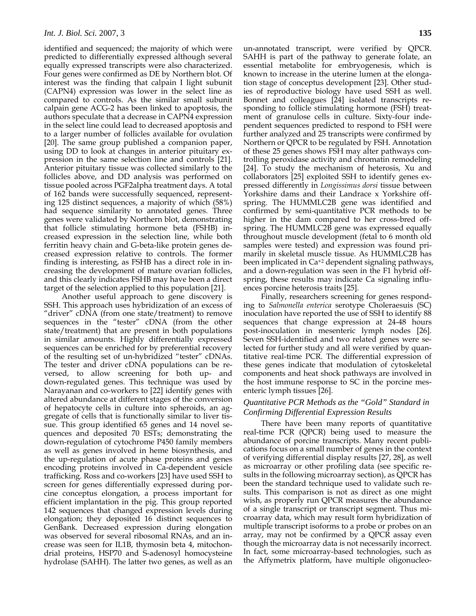identified and sequenced; the majority of which were predicted to differentially expressed although several equally expressed transcripts were also characterized. Four genes were confirmed as DE by Northern blot. Of interest was the finding that calpain I light subunit (CAPN4) expression was lower in the select line as compared to controls. As the similar small subunit calpain gene ACG-2 has been linked to apoptosis, the authors speculate that a decrease in CAPN4 expression in the select line could lead to decreased apoptosis and to a larger number of follicles available for ovulation [20]. The same group published a companion paper, using DD to look at changes in anterior pituitary expression in the same selection line and controls [21]. Anterior pituitary tissue was collected similarly to the follicles above, and DD analysis was performed on tissue pooled across PGF2alpha treatment days. A total of 162 bands were successfully sequenced, representing 125 distinct sequences, a majority of which (58%) had sequence similarity to annotated genes. Three genes were validated by Northern blot, demonstrating that follicle stimulating hormone beta (FSHB) increased expression in the selection line, while both ferritin heavy chain and G-beta-like protein genes decreased expression relative to controls. The former finding is interesting, as FSHB has a direct role in increasing the development of mature ovarian follicles, and this clearly indicates FSHB may have been a direct target of the selection applied to this population [21].

Another useful approach to gene discovery is SSH. This approach uses hybridization of an excess of "driver" cDNA (from one state/treatment) to remove sequences in the "tester" cDNA (from the other state/treatment) that are present in both populations in similar amounts. Highly differentially expressed sequences can be enriched for by preferential recovery of the resulting set of un-hybridized "tester" cDNAs. The tester and driver cDNA populations can be reversed, to allow screening for both up- and down-regulated genes. This technique was used by Narayanan and co-workers to [22] identify genes with altered abundance at different stages of the conversion of hepatocyte cells in culture into spheroids, an aggregate of cells that is functionally similar to liver tissue. This group identified 65 genes and 14 novel sequences and deposited 70 ESTs; demonstrating the down-regulation of cytochrome P450 family members as well as genes involved in heme biosynthesis, and the up-regulation of acute phase proteins and genes encoding proteins involved in Ca-dependent vesicle trafficking. Ross and co-workers [23] have used SSH to screen for genes differentially expressed during porcine conceptus elongation, a process important for efficient implantation in the pig. This group reported 142 sequences that changed expression levels during elongation; they deposited 16 distinct sequences to GenBank. Decreased expression during elongation was observed for several ribosomal RNAs, and an increase was seen for IL1B, thymosin beta 4, mitochondrial proteins, HSP70 and S-adenosyl homocysteine hydrolase (SAHH). The latter two genes, as well as an un-annotated transcript, were verified by QPCR. SAHH is part of the pathway to generate folate, an essential metabolite for embryogenesis, which is known to increase in the uterine lumen at the elongation stage of conceptus development [23]. Other studies of reproductive biology have used SSH as well. Bonnet and colleagues [24] isolated transcripts responding to follicle stimulating hormone (FSH) treatment of granulose cells in culture. Sixty-four independent sequences predicted to respond to FSH were further analyzed and 25 transcripts were confirmed by Northern or QPCR to be regulated by FSH. Annotation of these 25 genes shows FSH may alter pathways controlling peroxidase activity and chromatin remodeling [24]. To study the mechanism of heterosis, Xu and collaborators [25] exploited SSH to identify genes expressed differently in *Longissimus dorsi* tissue between Yorkshire dams and their Landrace x Yorkshire offspring. The HUMMLC2B gene was identified and confirmed by semi-quantitative PCR methods to be higher in the dam compared to her cross-bred offspring. The HUMMLC2B gene was expressed equally throughout muscle development (fetal to 6 month old samples were tested) and expression was found primarily in skeletal muscle tissue. As HUMMLC2B has been implicated in Ca+2 dependent signaling pathways, and a down-regulation was seen in the F1 hybrid offspring, these results may indicate Ca signaling influences porcine heterosis traits [25].

Finally, researchers screening for genes responding to *Salmonella enterica* serotype Choleraesuis (SC) inoculation have reported the use of SSH to identify 88 sequences that change expression at 24-48 hours post-inoculation in mesenteric lymph nodes [26]. Seven SSH-identified and two related genes were selected for further study and all were verified by quantitative real-time PCR. The differential expression of these genes indicate that modulation of cytoskeletal components and heat shock pathways are involved in the host immune response to SC in the porcine mesenteric lymph tissues [26].

#### *Quantitative PCR Methods as the "Gold" Standard in Confirming Differential Expression Results*

There have been many reports of quantitative real-time PCR (QPCR) being used to measure the abundance of porcine transcripts. Many recent publications focus on a small number of genes in the context of verifying differential display results [27, 28], as well as microarray or other profiling data (see specific results in the following microarray section), as QPCR has been the standard technique used to validate such results. This comparison is not as direct as one might wish, as properly run QPCR measures the abundance of a single transcript or transcript segment. Thus microarray data, which may result form hybridization of multiple transcript isoforms to a probe or probes on an array, may not be confirmed by a QPCR assay even though the microarray data is not necessarily incorrect. In fact, some microarray-based technologies, such as the Affymetrix platform, have multiple oligonucleo-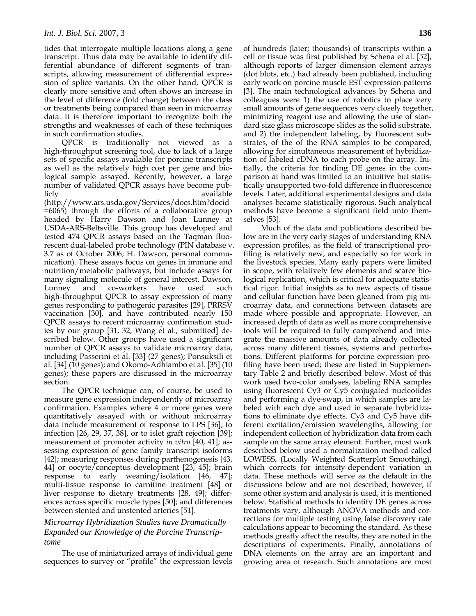tides that interrogate multiple locations along a gene transcript. Thus data may be available to identify differential abundance of different segments of transcripts, allowing measurement of differential expression of splice variants. On the other hand, QPCR is clearly more sensitive and often shows an increase in the level of difference (fold change) between the class or treatments being compared than seen in microarray data. It is therefore important to recognize both the strengths and weaknesses of each of these techniques in such confirmation studies.

QPCR is traditionally not viewed as a high-throughput screening tool, due to lack of a large sets of specific assays available for porcine transcripts as well as the relatively high cost per gene and biological sample assayed. Recently, however, a large number of validated QPCR assays have become publicly available

(http://www.ars.usda.gov/Services/docs.htm?docid =6065) through the efforts of a collaborative group headed by Harry Dawson and Joan Lunney at USDA-ARS-Beltsville. This group has developed and tested 474 QPCR assays based on the Taqman fluorescent dual-labeled probe technology (PIN database v. 3.7 as of October 2006; H. Dawson, personal communication). These assays focus on genes in immune and nutrition/metabolic pathways, but include assays for many signaling molecule of general interest. Dawson, Lunney and co-workers have used such high-throughput QPCR to assay expression of many genes responding to pathogenic parasites [29], PRRSV vaccination [30], and have contributed nearly 150 QPCR assays to recent microarray confirmation studies by our group [31, 32, Wang et al., submitted] described below. Other groups have used a significant number of QPCR assays to validate microarray data, including Passerini et al. [33] (27 genes); Ponsuksili et al. [34] (10 genes); and Okomo-Adhiambo et al. [35] (10 genes); these papers are discussed in the microarray section.

The QPCR technique can, of course, be used to measure gene expression independently of microarray confirmation. Examples where 4 or more genes were quantitatively assayed with or without microarray data include measurement of response to LPS [36], to infection [26, 29, 37, 38], or to islet graft rejection [39]; measurement of promoter activity *in vitro* [40, 41]; assessing expression of gene family transcript isoforms [42]; measuring responses during parthenogenesis [43, 44] or oocyte/conceptus development [23, 45]; brain response to early weaning/isolation [46, 47]; multi-tissue response to carnitine treatment [48] or liver response to dietary treatments [28, 49]; differences across specific muscle types [50]; and differences between stented and unstented arteries [51].

### *Microarray Hybridization Studies have Dramatically Expanded our Knowledge of the Porcine Transcriptome*

The use of miniaturized arrays of individual gene sequences to survey or "profile" the expression levels of hundreds (later; thousands) of transcripts within a cell or tissue was first published by Schena et al. [52], although reports of larger dimension element arrays (dot blots, etc.) had already been published, including early work on porcine muscle EST expression patterns [3]. The main technological advances by Schena and colleagues were 1) the use of robotics to place very small amounts of gene sequences very closely together, minimizing reagent use and allowing the use of standard size glass microscope slides as the solid substrate, and 2) the independent labeling, by fluorescent substrates, of the of the RNA samples to be compared, allowing for simultaneous measurement of hybridization of labeled cDNA to each probe on the array. Initially, the criteria for finding DE genes in the comparison at hand was limited to an intuitive but statistically unsupported two-fold difference in fluorescence levels. Later, additional experimental designs and data analyses became statistically rigorous. Such analytical methods have become a significant field unto themselves [53].

Much of the data and publications described below are in the very early stages of understanding RNA expression profiles, as the field of transcriptional profiling is relatively new, and especially so for work in the livestock species. Many early papers were limited in scope, with relatively few elements and scarce biological replication, which is critical for adequate statistical rigor. Initial insights as to new aspects of tissue and cellular function have been gleaned from pig microarray data, and connections between datasets are made where possible and appropriate. However, an increased depth of data as well as more comprehensive tools will be required to fully comprehend and integrate the massive amounts of data already collected across many different tissues, systems and perturbations. Different platforms for porcine expression profiling have been used; these are listed in Supplementary Table 2 and briefly described below. Most of this work used two-color analyses, labeling RNA samples using fluorescent Cy3 or Cy5 conjugated nucleotides and performing a dye-swap, in which samples are labeled with each dye and used in separate hybridizations to eliminate dye effects. Cy3 and Cy5 have different excitation/emission wavelengths, allowing for independent collection of hybridization data from each sample on the same array element. Further, most work described below used a normalization method called LOWESS, (Locally Weighted Scatterplot Smoothing), which corrects for intensity-dependent variation in data. These methods will serve as the default in the discussions below and are not described; however, if some other system and analysis is used, it is mentioned below. Statistical methods to identify DE genes across treatments vary, although ANOVA methods and corrections for multiple testing using false discovery rate calculations appear to becoming the standard. As these methods greatly affect the results, they are noted in the descriptions of experiments. Finally, annotations of DNA elements on the array are an important and growing area of research. Such annotations are most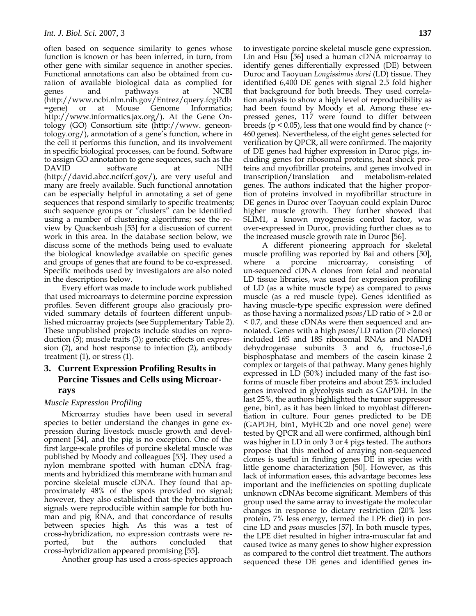often based on sequence similarity to genes whose function is known or has been inferred, in turn, from other gene with similar sequence in another species. Functional annotations can also be obtained from curation of available biological data as complied for genes and pathways at NCBI (http://www.ncbi.nlm.nih.gov/Entrez/query.fcgi?db =gene) or at Mouse Genome Informatics; http://www.informatics.jax.org/). At the Gene Ontology (GO) Consortium site (http://www. geneontology.org/), annotation of a gene's function, where in the cell it performs this function, and its involvement in specific biological processes, can be found. Software to assign GO annotation to gene sequences, such as the DAVID software at NIH (http://david.abcc.ncifcrf.gov/), are very useful and many are freely available. Such functional annotation can be especially helpful in annotating a set of gene sequences that respond similarly to specific treatments; such sequence groups or "clusters" can be identified using a number of clustering algorithms; see the review by Quackenbush [53] for a discussion of current work in this area. In the database section below, we discuss some of the methods being used to evaluate the biological knowledge available on specific genes and groups of genes that are found to be co-expressed. Specific methods used by investigators are also noted in the descriptions below.

Every effort was made to include work published that used microarrays to determine porcine expression profiles. Seven different groups also graciously provided summary details of fourteen different unpublished microarray projects (see Supplementary Table 2). These unpublished projects include studies on reproduction (5); muscle traits (3); genetic effects on expression (2), and host response to infection (2), antibody treatment (1), or stress (1).

## **3. Current Expression Profiling Results in Porcine Tissues and Cells using Microarrays**

#### *Muscle Expression Profiling*

Microarray studies have been used in several species to better understand the changes in gene expression during livestock muscle growth and development [54], and the pig is no exception. One of the first large-scale profiles of porcine skeletal muscle was published by Moody and colleagues [55]. They used a nylon membrane spotted with human cDNA fragments and hybridized this membrane with human and porcine skeletal muscle cDNA. They found that approximately 48% of the spots provided no signal; however, they also established that the hybridization signals were reproducible within sample for both human and pig RNA, and that concordance of results between species high. As this was a test of cross-hybridization, no expression contrasts were reported, but the authors concluded that cross-hybridization appeared promising [55].

Another group has used a cross-species approach

to investigate porcine skeletal muscle gene expression. Lin and Hsu [56] used a human cDNA microarray to identify genes differentially expressed (DE) between Duroc and Taoyuan *Longissimus dorsi* (LD) tissue. They identified 6,400 DE genes with signal 2.5 fold higher that background for both breeds. They used correlation analysis to show a high level of reproducibility as had been found by Moody et al. Among these expressed genes, 117 were found to differ between breeds ( $p < 0.05$ ), less that one would find by chance ( $\sim$ 460 genes). Nevertheless, of the eight genes selected for verification by QPCR, all were confirmed. The majority of DE genes had higher expression in Duroc pigs, including genes for ribosomal proteins, heat shock proteins and myofibrillar proteins, and genes involved in transcription/translation and metabolism-related genes. The authors indicated that the higher proportion of proteins involved in myofibrillar structure in DE genes in Duroc over Taoyuan could explain Duroc higher muscle growth. They further showed that SLIM1, a known myogenesis control factor, was over-expressed in Duroc, providing further clues as to the increased muscle growth rate in Duroc [56].

 A different pioneering approach for skeletal muscle profiling was reported by Bai and others [50], where a porcine microarray, consisting un-sequenced cDNA clones from fetal and neonatal LD tissue libraries, was used for expression profiling of LD (as a white muscle type) as compared to *psoas* muscle (as a red muscle type). Genes identified as having muscle-type specific expression were defined as those having a normalized *psoas*/LD ratio of > 2.0 or < 0.7, and these cDNAs were then sequenced and annotated. Genes with a high *psoas*/LD ration (70 clones) included 16S and 18S ribosomal RNAs and NADH dehydrogenase subunits 3 and 6, fructose-1,6 bisphosphatase and members of the casein kinase 2 complex or targets of that pathway. Many genes highly expressed in LD (50%) included many of the fast isoforms of muscle fiber proteins and about 25% included genes involved in glycolysis such as GAPDH. In the last 25%, the authors highlighted the tumor suppressor gene, bin1, as it has been linked to myoblast differentiation in culture. Four genes predicted to be DE (GAPDH, bin1, MyHC2b and one novel gene) were tested by QPCR and all were confirmed, although bin1 was higher in LD in only 3 or 4 pigs tested. The authors propose that this method of arraying non-sequenced clones is useful in finding genes DE in species with little genome characterization [50]. However, as this lack of information eases, this advantage becomes less important and the inefficiencies on spotting duplicate unknown cDNAs become significant. Members of this group used the same array to investigate the molecular changes in response to dietary restriction (20% less protein, 7% less energy, termed the LPE diet) in porcine LD and *psoas* muscles [57]. In both muscle types, the LPE diet resulted in higher intra-muscular fat and caused twice as many genes to show higher expression as compared to the control diet treatment. The authors sequenced these DE genes and identified genes in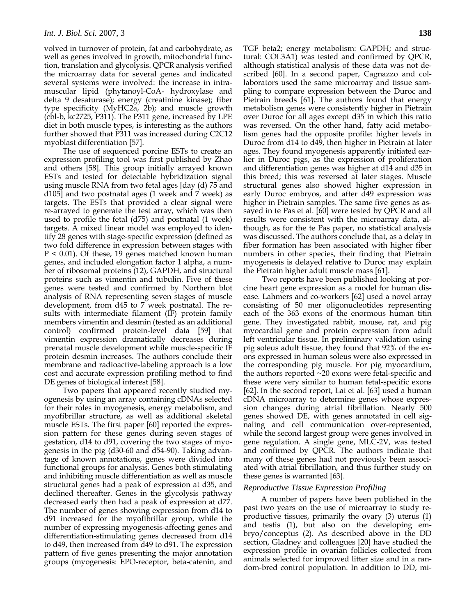volved in turnover of protein, fat and carbohydrate, as well as genes involved in growth, mitochondrial function, translation and glycolysis. QPCR analysis verified the microarray data for several genes and indicated several systems were involved: the increase in intramuscular lipid (phytanoyl-CoA- hydroxylase and delta 9 desaturase); energy (creatinine kinase); fiber type specificity (MyHC2a, 2b); and muscle growth (cbl-b, kc2725, P311). The P311 gene, increased by LPE diet in both muscle types, is interesting as the authors further showed that P311 was increased during C2C12 myoblast differentiation [57].

 The use of sequenced porcine ESTs to create an expression profiling tool was first published by Zhao and others [58]. This group initially arrayed known ESTs and tested for detectable hybridization signal using muscle RNA from two fetal ages [day (d) 75 and d105] and two postnatal ages (1 week and 7 week) as targets. The ESTs that provided a clear signal were re-arrayed to generate the test array, which was then used to profile the fetal (d75) and postnatal (1 week) targets. A mixed linear model was employed to identify 28 genes with stage-specific expression (defined as two fold difference in expression between stages with P < 0.01). Of these, 19 genes matched known human genes, and included elongation factor 1 alpha, a number of ribosomal proteins (12), GAPDH, and structural proteins such as vimentin and tubulin. Five of these genes were tested and confirmed by Northern blot analysis of RNA representing seven stages of muscle development, from d45 to 7 week postnatal. The results with intermediate filament (IF) protein family members vimentin and desmin (tested as an additional control) confirmed protein-level data [59] that vimentin expression dramatically decreases during prenatal muscle development while muscle-specific IF protein desmin increases. The authors conclude their membrane and radioactive-labeling approach is a low cost and accurate expression profiling method to find DE genes of biological interest [58].

 Two papers that appeared recently studied myogenesis by using an array containing cDNAs selected for their roles in myogenesis, energy metabolism, and myofibrillar structure, as well as additional skeletal muscle ESTs. The first paper [60] reported the expression pattern for these genes during seven stages of gestation, d14 to d91, covering the two stages of myogenesis in the pig (d30-60 and d54-90). Taking advantage of known annotations, genes were divided into functional groups for analysis. Genes both stimulating and inhibiting muscle differentiation as well as muscle structural genes had a peak of expression at d35, and declined thereafter. Genes in the glycolysis pathway decreased early then had a peak of expression at d77. The number of genes showing expression from d14 to d91 increased for the myofibrillar group, while the number of expressing myogenesis-affecting genes and differentiation-stimulating genes decreased from d14 to d49, then increased from d49 to d91. The expression pattern of five genes presenting the major annotation groups (myogenesis: EPO-receptor, beta-catenin, and TGF beta2; energy metabolism: GAPDH; and structural: COL3A1) was tested and confirmed by QPCR, although statistical analysis of these data was not described [60]. In a second paper, Cagnazzo and collaborators used the same microarray and tissue sampling to compare expression between the Duroc and Pietrain breeds [61]. The authors found that energy metabolism genes were consistently higher in Pietrain over Duroc for all ages except d35 in which this ratio was reversed. On the other hand, fatty acid metabolism genes had the opposite profile: higher levels in Duroc from d14 to d49, then higher in Pietrain at later ages. They found myogenesis apparently initiated earlier in Duroc pigs, as the expression of proliferation and differentiation genes was higher at d14 and d35 in this breed; this was reversed at later stages. Muscle structural genes also showed higher expression in early Duroc embryos, and after d49 expression was higher in Pietrain samples. The same five genes as assayed in te Pas et al. [60] were tested by QPCR and all results were consistent with the microarray data, although, as for the te Pas paper, no statistical analysis was discussed. The authors conclude that, as a delay in fiber formation has been associated with higher fiber numbers in other species, their finding that Pietrain myogenesis is delayed relative to Duroc may explain the Pietrain higher adult muscle mass [61].

 Two reports have been published looking at porcine heart gene expression as a model for human disease. Lahmers and co-workers [62] used a novel array consisting of 50 mer oligonucleotides representing each of the 363 exons of the enormous human titin gene. They investigated rabbit, mouse, rat, and pig myocardial gene and protein expression from adult left ventricular tissue. In preliminary validation using pig soleus adult tissue, they found that 92% of the exons expressed in human soleus were also expressed in the corresponding pig muscle. For pig myocardium, the authors reported ~20 exons were fetal-specific and these were very similar to human fetal-specific exons [62]. In the second report, Lai et al. [63] used a human cDNA microarray to determine genes whose expression changes during atrial fibrillation. Nearly 500 genes showed DE, with genes annotated in cell signaling and cell communication over-represented, while the second largest group were genes involved in gene regulation. A single gene, MLC-2V, was tested and confirmed by QPCR. The authors indicate that many of these genes had not previously been associated with atrial fibrillation, and thus further study on these genes is warranted [63].

#### *Reproductive Tissue Expression Profiling*

A number of papers have been published in the past two years on the use of microarray to study reproductive tissues, primarily the ovary (3) uterus (1) and testis (1), but also on the developing embryo/conceptus (2). As described above in the DD section, Gladney and colleagues [20] have studied the expression profile in ovarian follicles collected from animals selected for improved litter size and in a random-bred control population. In addition to DD, mi-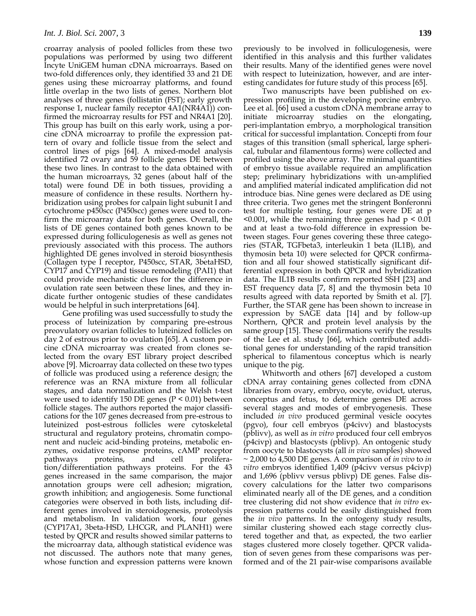croarray analysis of pooled follicles from these two populations was performed by using two different Incyte UniGEM human cDNA microarrays. Based on two-fold differences only, they identified 33 and 21 DE genes using these microarray platforms, and found little overlap in the two lists of genes. Northern blot analyses of three genes (follistatin (FST); early growth response 1, nuclear family receptor 4A1(NR4A1)) confirmed the microarray results for FST and NR4A1 [20]. This group has built on this early work, using a porcine cDNA microarray to profile the expression pattern of ovary and follicle tissue from the select and control lines of pigs [64]. A mixed-model analysis identified 72 ovary and 59 follicle genes DE between these two lines. In contrast to the data obtained with the human microarrays, 32 genes (about half of the total) were found DE in both tissues, providing a measure of confidence in these results. Northern hybridization using probes for calpain light subunit I and cytochrome p450scc (P450scc) genes were used to confirm the microarray data for both genes. Overall, the lists of DE genes contained both genes known to be expressed during folliculogenesis as well as genes not previously associated with this process. The authors highlighted DE genes involved in steroid biosynthesis (Collagen type I receptor, P450scc, STAR, 3betaHSD, CYP17 and CYP19) and tissue remodeling (PAI1) that could provide mechanistic clues for the difference in ovulation rate seen between these lines, and they indicate further ontogenic studies of these candidates would be helpful in such interpretations [64].

 Gene profiling was used successfully to study the process of luteinization by comparing pre-estrous preovulatory ovarian follicles to luteinized follicles on day 2 of estrous prior to ovulation [65]. A custom porcine cDNA microarray was created from clones selected from the ovary EST library project described above [9]. Microarray data collected on these two types of follicle was produced using a reference design; the reference was an RNA mixture from all follicular stages, and data normalization and the Welsh t-test were used to identify 150 DE genes ( $P \le 0.01$ ) between follicle stages. The authors reported the major classifications for the 107 genes decreased from pre-estrous to luteinized post-estrous follicles were cytoskeletal structural and regulatory proteins, chromatin component and nucleic acid-binding proteins, metabolic enzymes, oxidative response proteins, cAMP receptor pathways proteins, and cell proliferation/differentiation pathways proteins. For the 43 genes increased in the same comparison, the major annotation groups were cell adhesion; migration, growth inhibition; and angiogenesis. Some functional categories were observed in both lists, including different genes involved in steroidogenesis, proteolysis and metabolism. In validation work, four genes (CYP17A1, 3beta-HSD, LHCGR, and PLANH1) were tested by QPCR and results showed similar patterns to the microarray data, although statistical evidence was not discussed. The authors note that many genes, whose function and expression patterns were known previously to be involved in folliculogenesis, were identified in this analysis and this further validates their results. Many of the identified genes were novel with respect to luteinization, however, and are interesting candidates for future study of this process [65].

 Two manuscripts have been published on expression profiling in the developing porcine embryo. Lee et al. [66] used a custom cDNA membrane array to initiate microarray studies on the elongating, peri-implantation embryo, a morphological transition critical for successful implantation. Concepti from four stages of this transition (small spherical, large spherical, tubular and filamentous forms) were collected and profiled using the above array. The minimal quantities of embryo tissue available required an amplification step; preliminary hybridizations with un-amplified and amplified material indicated amplification did not introduce bias. Nine genes were declared as DE using three criteria. Two genes met the stringent Bonferonni test for multiple testing, four genes were DE at p  $\leq 0.001$ , while the remaining three genes had  $p \leq 0.01$ and at least a two-fold difference in expression between stages. Four genes covering these three categories (STAR, TGFbeta3, interleukin 1 beta (IL1B), and thymosin beta 10) were selected for QPCR confirmation and all four showed statistically significant differential expression in both QPCR and hybridization data. The IL1B results confirm reported SSH [23] and EST frequency data [7, 8] and the thymosin beta 10 results agreed with data reported by Smith et al. [7]. Further, the STAR gene has been shown to increase in expression by SAGE data [14] and by follow-up Northern, QPCR and protein level analysis by the same group [15]. These confirmations verify the results of the Lee et al. study [66], which contributed additional genes for understanding of the rapid transition spherical to filamentous conceptus which is nearly unique to the pig.

 Whitworth and others [67] developed a custom cDNA array containing genes collected from cDNA libraries from ovary, embryo, oocyte, oviduct, uterus, conceptus and fetus, to determine genes DE across several stages and modes of embryogenesis. These included *in vivo* produced germinal vesicle oocytes (pgvo), four cell embryos (p4civv) and blastocysts (pblivv), as well as *in vitro* produced four cell embryos (p4civp) and blastocysts (pblivp). An ontogenic study from oocyte to blastocysts (all *in vivo* samples) showed ~ 2,000 to 4,500 DE genes. A comparison of *in vivo* to *in vitro* embryos identified 1,409 (p4civv versus p4civp) and 1,696 (pblivv versus pblivp) DE genes. False discovery calculations for the latter two comparisons eliminated nearly all of the DE genes, and a condition tree clustering did not show evidence that *in vitro* expression patterns could be easily distinguished from the *in vivo* patterns. In the ontogeny study results, similar clustering showed each stage correctly clustered together and that, as expected, the two earlier stages clustered more closely together. QPCR validation of seven genes from these comparisons was performed and of the 21 pair-wise comparisons available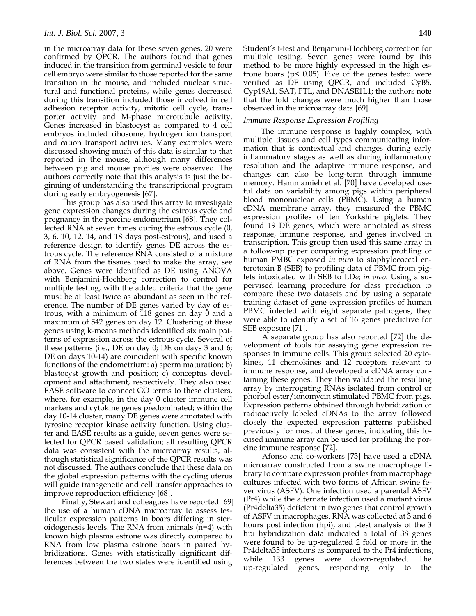in the microarray data for these seven genes, 20 were confirmed by QPCR. The authors found that genes induced in the transition from germinal vesicle to four cell embryo were similar to those reported for the same transition in the mouse, and included nuclear structural and functional proteins, while genes decreased during this transition included those involved in cell adhesion receptor activity, mitotic cell cycle, transporter activity and M-phase microtubule activity. Genes increased in blastocyst as compared to 4 cell embryos included ribosome, hydrogen ion transport and cation transport activities. Many examples were discussed showing much of this data is similar to that reported in the mouse, although many differences between pig and mouse profiles were observed. The authors correctly note that this analysis is just the beginning of understanding the transcriptional program during early embryogenesis [67].

This group has also used this array to investigate gene expression changes during the estrous cycle and pregnancy in the porcine endometrium [68]. They collected RNA at seven times during the estrous cycle (0, 3, 6, 10, 12, 14, and 18 days post-estrous), and used a reference design to identify genes DE across the estrous cycle. The reference RNA consisted of a mixture of RNA from the tissues used to make the array, see above. Genes were identified as DE using ANOVA with Benjamini-Hochberg correction to control for multiple testing, with the added criteria that the gene must be at least twice as abundant as seen in the reference. The number of DE genes varied by day of estrous, with a minimum of 118 genes on day 0 and a maximum of 542 genes on day 12. Clustering of these genes using k-means methods identified six main patterns of expression across the estrous cycle. Several of these patterns (i.e., DE on day 0; DE on days 3 and 6; DE on days 10-14) are coincident with specific known functions of the endometrium: a) sperm maturation; b) blastocyst growth and position; c) conceptus development and attachment, respectively. They also used EASE software to connect GO terms to these clusters, where, for example, in the day 0 cluster immune cell markers and cytokine genes predominated; within the day 10-14 cluster, many DE genes were annotated with tyrosine receptor kinase activity function. Using cluster and EASE results as a guide, seven genes were selected for QPCR based validation; all resulting QPCR data was consistent with the microarray results, although statistical significance of the QPCR results was not discussed. The authors conclude that these data on the global expression patterns with the cycling uterus will guide transgenetic and cell transfer approaches to improve reproduction efficiency [68].

Finally, Stewart and colleagues have reported [69] the use of a human cDNA microarray to assess testicular expression patterns in boars differing in steroidogenesis levels. The RNA from animals (n=4) with known high plasma estrone was directly compared to RNA from low plasma estrone boars in paired hybridizations. Genes with statistically significant differences between the two states were identified using

Student's t-test and Benjamini-Hochberg correction for multiple testing. Seven genes were found by this method to be more highly expressed in the high estrone boars ( $p$ < 0.05). Five of the genes tested were verified as DE using QPCR, and included CyB5, Cyp19A1, SAT, FTL, and DNASE1L1; the authors note that the fold changes were much higher than those observed in the microarray data [69].

#### *Immune Response Expression Profiling*

The immune response is highly complex, with multiple tissues and cell types communicating information that is contextual and changes during early inflammatory stages as well as during inflammatory resolution and the adaptive immune response, and changes can also be long-term through immune memory. Hammamieh et al. [70] have developed useful data on variability among pigs within peripheral blood mononuclear cells (PBMC). Using a human cDNA membrane array, they measured the PBMC expression profiles of ten Yorkshire piglets. They found 19 DE genes, which were annotated as stress response, immune response, and genes involved in transcription. This group then used this same array in a follow-up paper comparing expression profiling of human PMBC exposed *in vitro* to staphylococcal enterotoxin B (SEB) to profiling data of PBMC from piglets intoxicated with SEB to LD95 *in vivo*. Using a supervised learning procedure for class prediction to compare these two datasets and by using a separate training dataset of gene expression profiles of human PBMC infected with eight separate pathogens, they were able to identify a set of 16 genes predictive for SEB exposure [71].

 A separate group has also reported [72] the development of tools for assaying gene expression responses in immune cells. This group selected 20 cytokines, 11 chemokines and 12 receptors relevant to immune response, and developed a cDNA array containing these genes. They then validated the resulting array by interrogating RNAs isolated from control or phorbol ester/ionomycin stimulated PBMC from pigs. Expression patterns obtained through hybridization of radioactively labeled cDNAs to the array followed closely the expected expression patterns published previously for most of these genes, indicating this focused immune array can be used for profiling the porcine immune response [72].

 Afonso and co-workers [73] have used a cDNA microarray constructed from a swine macrophage library to compare expression profiles from macrophage cultures infected with two forms of African swine fever virus (ASFV). One infection used a parental ASFV (Pr4) while the alternate infection used a mutant virus (Pr4delta35) deficient in two genes that control growth of ASFV in macrophages. RNA was collected at 3 and 6 hours post infection (hpi), and t-test analysis of the 3 hpi hybridization data indicated a total of 38 genes were found to be up-regulated 2 fold or more in the Pr4delta35 infections as compared to the Pr4 infections, while 133 genes were down-regulated. The up-regulated genes, responding only to the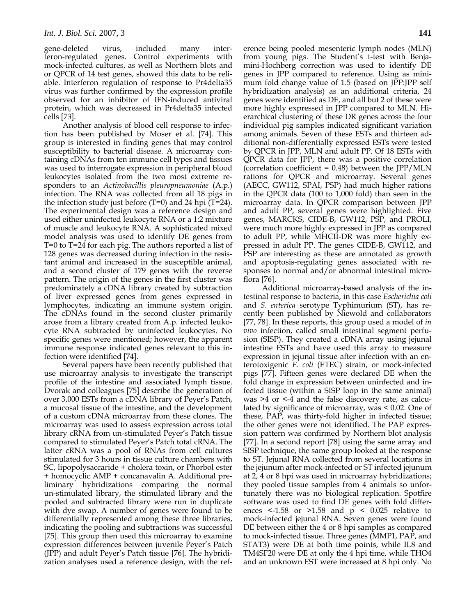gene-deleted virus, included many interferon-regulated genes. Control experiments with mock-infected cultures, as well as Northern blots and or QPCR of 14 test genes, showed this data to be reliable. Interferon regulation of response to Pr4delta35 virus was further confirmed by the expression profile observed for an inhibitor of IFN-induced antiviral protein, which was decreased in Pr4delta35 infected cells [73].

 Another analysis of blood cell response to infection has been published by Moser et al. [74]. This group is interested in finding genes that may control susceptibility to bacterial disease. A microarray containing cDNAs from ten immune cell types and tissues was used to interrogate expression in peripheral blood leukocytes isolated from the two most extreme responders to an *Actinobacillis pleuropneumoniae* (A.p.) infection. The RNA was collected from all 18 pigs in the infection study just before  $(T=0)$  and 24 hpi  $(T=24)$ . The experimental design was a reference design and used either uninfected leukocyte RNA or a 1:2 mixture of muscle and leukocyte RNA. A sophisticated mixed model analysis was used to identify DE genes from T=0 to T=24 for each pig. The authors reported a list of 128 genes was decreased during infection in the resistant animal and increased in the susceptible animal, and a second cluster of 179 genes with the reverse pattern. The origin of the genes in the first cluster was predominately a cDNA library created by subtraction of liver expressed genes from genes expressed in lymphocytes, indicating an immune system origin. The cDNAs found in the second cluster primarily arose from a library created from A.p. infected leukocyte RNA subtracted by uninfected leukocytes. No specific genes were mentioned; however, the apparent immune response indicated genes relevant to this infection were identified [74].

 Several papers have been recently published that use microarray analysis to investigate the transcript profile of the intestine and associated lymph tissue. Dvorak and colleagues [75] describe the generation of over 3,000 ESTs from a cDNA library of Peyer's Patch, a mucosal tissue of the intestine, and the development of a custom cDNA microarray from these clones. The microarray was used to assess expression across total library cRNA from un-stimulated Peyer's Patch tissue compared to stimulated Peyer's Patch total cRNA. The latter cRNA was a pool of RNAs from cell cultures stimulated for 3 hours in tissue culture chambers with SC, lipopolysaccaride + cholera toxin, or Phorbol ester + homocyclic AMP + concanavalin A. Additional preliminary hybridizations comparing the normal un-stimulated library, the stimulated library and the pooled and subtracted library were run in duplicate with dye swap. A number of genes were found to be differentially represented among these three libraries, indicating the pooling and subtractions was successful [75]. This group then used this microarray to examine expression differences between juvenile Peyer's Patch (JPP) and adult Peyer's Patch tissue [76]. The hybridization analyses used a reference design, with the reference being pooled mesenteric lymph nodes (MLN) from young pigs. The Student's t-test with Benjamini-Hochberg correction was used to identify DE genes in JPP compared to reference. Using as minimum fold change value of 1.5 (based on JPP:JPP self hybridization analysis) as an additional criteria, 24 genes were identified as DE, and all but 2 of these were more highly expressed in JPP compared to MLN. Hierarchical clustering of these DR genes across the four individual pig samples indicated significant variation among animals. Seven of these ESTs and thirteen additional non-differentially expressed ESTs were tested by QPCR in JPP, MLN and adult PP. Of 18 ESTs with QPCR data for JPP, there was a positive correlation (correlation coefficient =  $0.48$ ) between the JPP/MLN rations for QPCR and microarray. Several genes (AECC, GW112, SPAI, PSP) had much higher rations in the QPCR data (100 to 1,000 fold) than seen in the microarray data. In QPCR comparison between JPP and adult PP, several genes were highlighted. Five genes, MARCKS, CIDE-B, GW112, PSP, and PROLI, were much more highly expressed in JPP as compared to adult PP, while MHCII-DR was more highly expressed in adult PP. The genes CIDE-B, GW112, and PSP are interesting as these are annotated as growth and apoptosis-regulating genes associated with responses to normal and/or abnormal intestinal microflora [76].

 Additional microarray-based analysis of the intestinal response to bacteria, in this case *Escherichia coli* and *S. enterica* serotype Typhimurium (ST), has recently been published by Niewold and collaborators [77, 78]. In these reports, this group used a model of *in vivo* infection, called small intestinal segment perfusion (SISP). They created a cDNA array using jejunal intestine ESTs and have used this array to measure expression in jejunal tissue after infection with an enterotoxigenic *E. coli* (ETEC) strain, or mock-infected pigs [77]. Fifteen genes were declared DE when the fold change in expression between uninfected and infected tissue (within a SISP loop in the same animal) was  $>4$  or  $\leq 4$  and the false discovery rate, as calculated by significance of microarray, was < 0.02. One of these, PAP, was thirty-fold higher in infected tissue; the other genes were not identified. The PAP expression pattern was confirmed by Northern blot analysis [77]. In a second report [78] using the same array and SISP technique, the same group looked at the response to ST. Jejunal RNA collected from several locations in the jejunum after mock-infected or ST infected jejunum at 2, 4 or 8 hpi was used in microarray hybridizations; they pooled tissue samples from 4 animals so unfortunately there was no biological replication. Spotfire software was used to find DE genes with fold differences  $\leq$  1.58 or  $\geq$  1.58 and p  $\leq$  0.025 relative to mock-infected jejunal RNA. Seven genes were found DE between either the 4 or 8 hpi samples as compared to mock-infected tissue. Three genes (MMP1, PAP, and STAT3) were DE at both time points, while IL8 and TM4SF20 were DE at only the 4 hpi time, while THO4 and an unknown EST were increased at 8 hpi only. No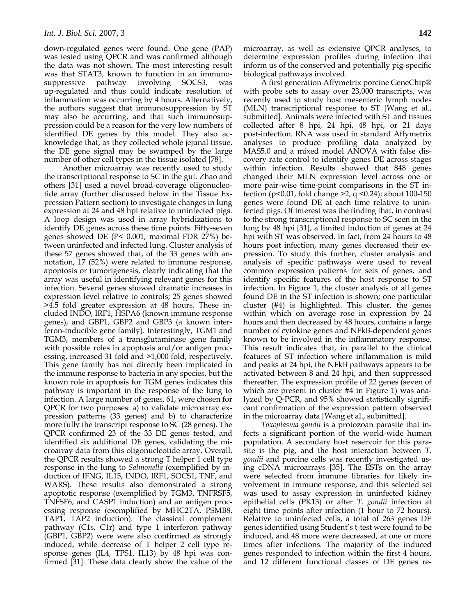down-regulated genes were found. One gene (PAP) was tested using QPCR and was confirmed although the data was not shown. The most interesting result was that STAT3, known to function in an immunosuppressive pathway involving SOCS3, was up-regulated and thus could indicate resolution of inflammation was occurring by 4 hours. Alternatively, the authors suggest that immunosuppression by ST may also be occurring, and that such immunosuppression could be a reason for the very low numbers of identified DE genes by this model. They also acknowledge that, as they collected whole jejunal tissue, the DE gene signal may be swamped by the large number of other cell types in the tissue isolated [78].

 Another microarray was recently used to study the transcriptional response to SC in the gut. Zhao and others [31] used a novel broad-coverage oligonucleotide array (further discussed below in the Tissue Expression Pattern section) to investigate changes in lung expression at 24 and 48 hpi relative to uninfected pigs. A loop design was used in array hybridizations to identify DE genes across these time points. Fifty-seven genes showed DE (P< 0.001, maximal FDR 27%) between uninfected and infected lung. Cluster analysis of these 57 genes showed that, of the 33 genes with annotation, 17 (52%) were related to immune response, apoptosis or tumorigenesis, clearly indicating that the array was useful in identifying relevant genes for this infection. Several genes showed dramatic increases in expression level relative to controls; 25 genes showed >4.5 fold greater expression at 48 hours. These included INDO, IRF1, HSPA6 (known immune response genes), and GBP1, GBP2 and GBP3 (a known interferon-inducible gene family). Interestingly, TGM1 and TGM3, members of a transglutaminase gene family with possible roles in apoptosis and/or antigen processing, increased 31 fold and >1,000 fold, respectively. This gene family has not directly been implicated in the immune response to bacteria in any species, but the known role in apoptosis for TGM genes indicates this pathway is important in the response of the lung to infection. A large number of genes, 61, were chosen for QPCR for two purposes: a) to validate microarray expression patterns (33 genes) and b) to characterize more fully the transcript response to SC (28 genes). The QPCR confirmed 23 of the 33 DE genes tested, and identified six additional DE genes, validating the microarray data from this oligonucleotide array. Overall, the QPCR results showed a strong T helper 1 cell type response in the lung to *Salmonella (*exemplified by induction of IFNG, IL15, INDO, IRF1, SOCS1, TNF, and WARS). These results also demonstrated a strong apoptotic response (exemplified by TGM3, TNFRSF5, TNFSF6, and CASP1 induction) and an antigen processing response (exemplified by MHC2TA, PSMB8, TAP1, TAP2 induction). The classical complement pathway (C1s, C1r) and type 1 interferon pathway (GBP1, GBP2) were were also confirmed as strongly induced, while decrease of T helper 2 cell type response genes (IL4, TPS1, IL13) by 48 hpi was confirmed [31]. These data clearly show the value of the microarray, as well as extensive QPCR analyses, to determine expression profiles during infection that inform us of the conserved and potentially pig-specific biological pathways involved.

A first generation Affymetrix porcine GeneChip® with probe sets to assay over 23,000 transcripts, was recently used to study host mesenteric lymph nodes (MLN) transcriptional response to ST [Wang et al., submitted]. Animals were infected with ST and tissues collected after 8 hpi, 24 hpi, 48 hpi, or 21 days post-infection. RNA was used in standard Affymetrix analyses to produce profiling data analyzed by MAS5.0 and a mixed model ANOVA with false discovery rate control to identify genes DE across stages within infection. Results showed that 848 genes changed their MLN expression level across one or more pair-wise time-point comparisons in the ST infection (p<0.01, fold change >2, q <0.24); about 100-150 genes were found DE at each time relative to uninfected pigs. Of interest was the finding that, in contrast to the strong transcriptional response to SC seen in the lung by 48 hpi [31], a limited induction of genes at 24 hpi with ST was observed. In fact, from 24 hours to 48 hours post infection, many genes decreased their expression. To study this further, cluster analysis and analysis of specific pathways were used to reveal common expression patterns for sets of genes, and identify specific features of the host response to ST infection. In Figure 1, the cluster analysis of all genes found DE in the ST infection is shown; one particular cluster (#4) is highlighted. This cluster, the genes within which on average rose in expression by 24 hours and then decreased by 48 hours, contains a large number of cytokine genes and NFkB-dependent genes known to be involved in the inflammatory response. This result indicates that, in parallel to the clinical features of ST infection where inflammation is mild and peaks at 24 hpi, the NFkB pathways appears to be activated between 8 and 24 hpi, and then suppressed thereafter. The expression profile of 22 genes (seven of which are present in cluster #4 in Figure 1) was analyzed by Q-PCR, and 95% showed statistically significant confirmation of the expression pattern observed in the microarray data [Wang et al., submitted].

*Toxoplasma gondii* is a protozoan parasite that infects a significant portion of the world-wide human population. A secondary host reservoir for this parasite is the pig, and the host interaction between *T. gondii* and porcine cells was recently investigated using cDNA microarrays [35]. The ESTs on the array were selected from immune libraries for likely involvement in immune response, and this selected set was used to assay expression in uninfected kidney epithelial cells (PK13) or after *T. gondii* infection at eight time points after infection (1 hour to 72 hours). Relative to uninfected cells, a total of 263 genes DE genes identified using Student's t-test were found to be induced, and 48 more were decreased, at one or more times after infections. The majority of the induced genes responded to infection within the first 4 hours, and 12 different functional classes of DE genes re-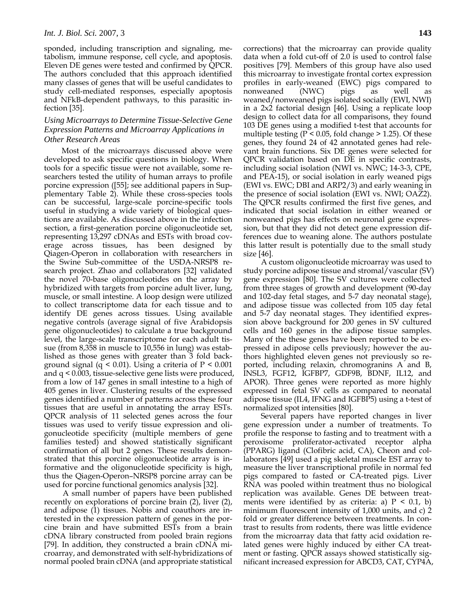sponded, including transcription and signaling, metabolism, immune response, cell cycle, and apoptosis. Eleven DE genes were tested and confirmed by QPCR. The authors concluded that this approach identified many classes of genes that will be useful candidates to study cell-mediated responses, especially apoptosis and NFkB-dependent pathways, to this parasitic infection [35].

#### *Using Microarrays to Determine Tissue-Selective Gene Expression Patterns and Microarray Applications in Other Research Areas*

Most of the microarrays discussed above were developed to ask specific questions in biology. When tools for a specific tissue were not available, some researchers tested the utility of human arrays to profile porcine expression ([55]; see additional papers in Supplementary Table 2). While these cross-species tools can be successful, large-scale porcine-specific tools useful in studying a wide variety of biological questions are available. As discussed above in the infection section, a first-generation porcine oligonucleotide set, representing 13,297 cDNAs and ESTs with broad coverage across tissues, has been designed by Qiagen-Operon in collaboration with researchers in the Swine Sub-committee of the USDA-NRSP8 research project. Zhao and collaborators [32] validated the novel 70-base oligonucleotides on the array by hybridized with targets from porcine adult liver, lung, muscle, or small intestine. A loop design were utilized to collect transcriptome data for each tissue and to identify DE genes across tissues. Using available negative controls (average signal of five Arabidopsis gene oligonucleotides) to calculate a true background level, the large-scale transcriptome for each adult tissue (from 8,358 in muscle to 10,556 in lung) was established as those genes with greater than 3 fold background signal (q < 0.01). Using a criteria of  $P \le 0.001$ and q < 0.003, tissue-selective gene lists were produced, from a low of 147 genes in small intestine to a high of 405 genes in liver. Clustering results of the expressed genes identified a number of patterns across these four tissues that are useful in annotating the array ESTs. QPCR analysis of 11 selected genes across the four tissues was used to verify tissue expression and oligonucleotide specificity (multiple members of gene families tested) and showed statistically significant confirmation of all but 2 genes. These results demonstrated that this porcine oligonucleotide array is informative and the oligonucleotide specificity is high, thus the Qiagen-Operon–NRSP8 porcine array can be used for porcine functional genomics analysis [32].

 A small number of papers have been published recently on explorations of porcine brain (2), liver (2), and adipose (1) tissues. Nobis and coauthors are interested in the expression pattern of genes in the porcine brain and have submitted ESTs from a brain cDNA library constructed from pooled brain regions [79]. In addition, they constructed a brain cDNA microarray, and demonstrated with self-hybridizations of normal pooled brain cDNA (and appropriate statistical corrections) that the microarray can provide quality data when a fold cut-off of 2.0 is used to control false positives [79]. Members of this group have also used this microarray to investigate frontal cortex expression profiles in early-weaned (EWC) pigs compared to nonweaned (NWC) pigs as well as weaned/nonweaned pigs isolated socially (EWI, NWI) in a 2x2 factorial design [46]. Using a replicate loop design to collect data for all comparisons, they found 103 DE genes using a modified t-test that accounts for multiple testing ( $P \le 0.05$ , fold change  $> 1.25$ ). Of these genes, they found 24 of 42 annotated genes had relevant brain functions. Six DE genes were selected for QPCR validation based on DE in specific contrasts, including social isolation (NWI vs. NWC; 14-3-3, CPE, and PEA-15), or social isolation in early weaned pigs (EWI vs. EWC; DBI and ARP2/3) and early weaning in the presence of social isolation (EWI vs. NWI; OAZ2). The QPCR results confirmed the first five genes, and indicated that social isolation in either weaned or nonweaned pigs has effects on neuronal gene expression, but that they did not detect gene expression differences due to weaning alone. The authors postulate this latter result is potentially due to the small study size [46].

A custom oligonucleotide microarray was used to study porcine adipose tissue and stromal/vascular (SV) gene expression [80]. The SV cultures were collected from three stages of growth and development (90-day and 102-day fetal stages, and 5-7 day neonatal stage), and adipose tissue was collected from 105 day fetal and 5-7 day neonatal stages. They identified expression above background for 200 genes in SV cultured cells and 160 genes in the adipose tissue samples. Many of the these genes have been reported to be expressed in adipose cells previously; however the authors highlighted eleven genes not previously so reported, including relaxin, chromogranins A and B, INSL3, FGF12, IGFBP7, GDF9B, BDNF, IL12, and APOR). Three genes were reported as more highly expressed in fetal SV cells as compared to neonatal adipose tissue (IL4, IFNG and IGFBP5) using a t-test of normalized spot intensities [80].

Several papers have reported changes in liver gene expression under a number of treatments. To profile the response to fasting and to treatment with a peroxisome proliferator-activated receptor alpha (PPARG) ligand (Clofibric acid, CA), Cheon and collaborators [49] used a pig skeletal muscle EST array to measure the liver transcriptional profile in normal fed pigs compared to fasted or CA-treated pigs. Liver RNA was pooled within treatment thus no biological replication was available. Genes DE between treatments were identified by as criteria: a)  $P < 0.1$ , b) minimum fluorescent intensity of 1,000 units, and c) 2 fold or greater difference between treatments. In contrast to results from rodents, there was little evidence from the microarray data that fatty acid oxidation related genes were highly induced by either CA treatment or fasting. QPCR assays showed statistically significant increased expression for ABCD3, CAT, CYP4A,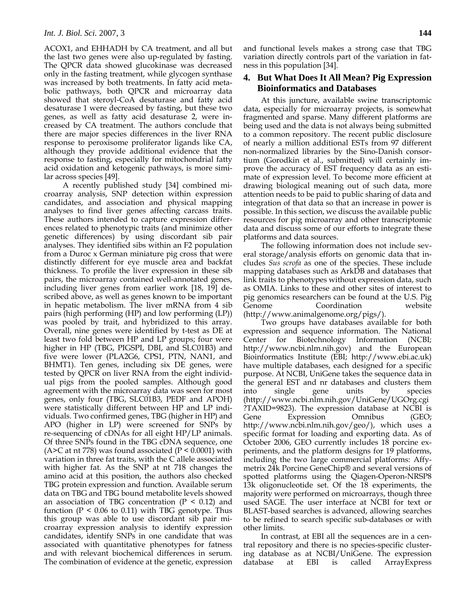ACOX1, and EHHADH by CA treatment, and all but the last two genes were also up-regulated by fasting. The QPCR data showed glucokinase was decreased only in the fasting treatment, while glycogen synthase was increased by both treatments. In fatty acid metabolic pathways, both QPCR and microarray data showed that steroyl-CoA desaturase and fatty acid desaturase 1 were decreased by fasting, but these two genes, as well as fatty acid desaturase 2, were increased by CA treatment. The authors conclude that there are major species differences in the liver RNA response to peroxisome proliferator ligands like CA, although they provide additional evidence that the response to fasting, especially for mitochondrial fatty acid oxidation and ketogenic pathways, is more similar across species [49].

 A recently published study [34] combined microarray analysis, SNP detection within expression candidates, and association and physical mapping analyses to find liver genes affecting carcass traits. These authors intended to capture expression differences related to phenotypic traits (and minimize other genetic differences) by using discordant sib pair analyses. They identified sibs within an F2 population from a Duroc x German miniature pig cross that were distinctly different for eye muscle area and backfat thickness. To profile the liver expression in these sib pairs, the microarray contained well-annotated genes, including liver genes from earlier work [18, 19] described above, as well as genes known to be important in hepatic metabolism. The liver mRNA from 4 sib pairs (high performing (HP) and low performing (LP)) was pooled by trait, and hybridized to this array. Overall, nine genes were identified by t-test as DE at least two fold between HP and LP groups; four were higher in HP (TBG, PIGSPI, DBI, and SLC01B3) and five were lower (PLA2G6, CPS1, PTN, NAN1, and BHMT1). Ten genes, including six DE genes, were tested by QPCR on liver RNA from the eight individual pigs from the pooled samples. Although good agreement with the microarray data was seen for most genes, only four (TBG, SLC01B3, PEDF and APOH) were statistically different between HP and LP individuals. Two confirmed genes, TBG (higher in HP) and APO (higher in LP) were screened for SNPs by re-sequencing of cDNAs for all eight HP/LP animals. Of three SNPs found in the TBG cDNA sequence, one (A>C at nt 778) was found associated ( $P < 0.0001$ ) with variation in three fat traits, with the C allele associated with higher fat. As the SNP at nt 718 changes the amino acid at this position, the authors also checked TBG protein expression and function. Available serum data on TBG and TBG bound metabolite levels showed an association of TBG concentration  $(P < 0.12)$  and function ( $P \le 0.06$  to 0.11) with TBG genotype. Thus this group was able to use discordant sib pair microarray expression analysis to identify expression candidates, identify SNPs in one candidate that was associated with quantitative phenotypes for fatness and with relevant biochemical differences in serum. The combination of evidence at the genetic, expression

and functional levels makes a strong case that TBG variation directly controls part of the variation in fatness in this population [34].

## **4. But What Does It All Mean? Pig Expression Bioinformatics and Databases**

At this juncture, available swine transcriptomic data, especially for microarray projects, is somewhat fragmented and sparse. Many different platforms are being used and the data is not always being submitted to a common repository. The recent public disclosure of nearly a million additional ESTs from 97 different non-normalized libraries by the Sino-Danish consortium (Gorodkin et al., submitted) will certainly improve the accuracy of EST frequency data as an estimate of expression level. To become more efficient at drawing biological meaning out of such data, more attention needs to be paid to public sharing of data and integration of that data so that an increase in power is possible. In this section, we discuss the available public resources for pig microarray and other transcriptomic data and discuss some of our efforts to integrate these platforms and data sources.

The following information does not include several storage/analysis efforts on genomic data that includes *Sus scrofa* as one of the species. These include mapping databases such as ArkDB and databases that link traits to phenotypes without expression data, such as OMIA. Links to these and other sites of interest to pig genomics researchers can be found at the U.S. Pig Genome Coordination website (http://www.animalgenome.org/pigs/).

Two groups have databases available for both expression and sequence information. The National Center for Biotechnology Information (NCBI; http://www.ncbi.nlm.nih.gov) and the European Bioinformatics Institute (EBI; http://www.ebi.ac.uk) have multiple databases, each designed for a specific purpose. At NCBI, UniGene takes the sequence data in the general EST and nr databases and clusters them into single gene units by species (http://www.ncbi.nlm.nih.gov/UniGene/UGOrg.cgi ?TAXID=9823). The expression database at NCBI is Gene Expression Omnibus (GEO; http://www.ncbi.nlm.nih.gov/geo/), which uses a specific format for loading and exporting data. As of October 2006, GEO currently includes 18 porcine experiments, and the platform designs for 19 platforms, including the two large commercial platforms: Affymetrix 24k Porcine GeneChip® and several versions of spotted platforms using the Qiagen-Operon-NRSP8 13k oligonucleotide set. Of the 18 experiments, the majority were performed on microarrays, though three used SAGE. The user interface at NCBI for text or BLAST-based searches is advanced, allowing searches to be refined to search specific sub-databases or with other limits.

In contrast, at EBI all the sequences are in a central repository and there is no species-specific clustering database as at NCBI/UniGene. The expression database at EBI is called ArrayExpress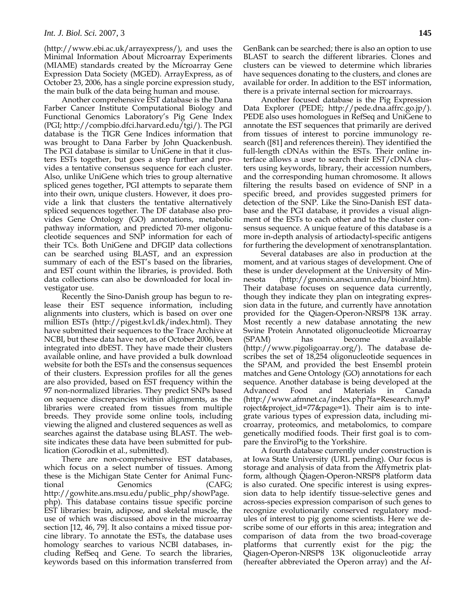(http://www.ebi.ac.uk/arrayexpress/), and uses the Minimal Information About Microarray Experiments (MIAME) standards created by the Microarray Gene Expression Data Society (MGED). ArrayExpress, as of October 23, 2006, has a single porcine expression study, the main bulk of the data being human and mouse.

Another comprehensive EST database is the Dana Farber Cancer Institute Computational Biology and Functional Genomics Laboratory's Pig Gene Index (PGI; http://compbio.dfci.harvard.edu/tgi/). The PGI database is the TIGR Gene Indices information that was brought to Dana Farber by John Quackenbush. The PGI database is similar to UniGene in that it clusters ESTs together, but goes a step further and provides a tentative consensus sequence for each cluster. Also, unlike UniGene which tries to group alternative spliced genes together, PGI attempts to separate them into their own, unique clusters. However, it does provide a link that clusters the tentative alternatively spliced sequences together. The DF database also provides Gene Ontology (GO) annotations, metabolic pathway information, and predicted 70-mer oligonucleotide sequences and SNP information for each of their TCs. Both UniGene and DFGIP data collections can be searched using BLAST, and an expression summary of each of the EST's based on the libraries, and EST count within the libraries, is provided. Both data collections can also be downloaded for local investigator use.

Recently the Sino-Danish group has begun to release their EST sequence information, including alignments into clusters, which is based on over one million ESTs (http://pigest.kvl.dk/index.html). They have submitted their sequences to the Trace Archive at NCBI, but these data have not, as of October 2006, been integrated into dbEST. They have made their clusters available online, and have provided a bulk download website for both the ESTs and the consensus sequences of their clusters. Expression profiles for all the genes are also provided, based on EST frequency within the 97 non-normalized libraries. They predict SNPs based on sequence discrepancies within alignments, as the libraries were created from tissues from multiple breeds. They provide some online tools, including viewing the aligned and clustered sequences as well as searches against the database using BLAST. The website indicates these data have been submitted for publication (Gorodkin et al., submitted).

There are non-comprehensive EST databases, which focus on a select number of tissues. Among these is the Michigan State Center for Animal Functional Genomics (CAFG; http://gowhite.ans.msu.edu/public\_php/showPage. php). This database contains tissue specific porcine EST libraries: brain, adipose, and skeletal muscle, the use of which was discussed above in the microarray section [12, 46, 79]. It also contains a mixed tissue porcine library. To annotate the ESTs, the database uses homology searches to various NCBI databases, including RefSeq and Gene. To search the libraries, keywords based on this information transferred from GenBank can be searched; there is also an option to use BLAST to search the different libraries. Clones and clusters can be viewed to determine which libraries have sequences donating to the clusters, and clones are available for order. In addition to the EST information, there is a private internal section for microarrays.

Another focused database is the Pig Expression Data Explorer (PEDE; http://pede.dna.affrc.go.jp/). PEDE also uses homologues in RefSeq and UniGene to annotate the EST sequences that primarily are derived from tissues of interest to porcine immunology research ([81] and references therein). They identified the full-length cDNAs within the ESTs. Their online interface allows a user to search their EST/cDNA clusters using keywords, library, their accession numbers, and the corresponding human chromosome. It allows filtering the results based on evidence of SNP in a specific breed, and provides suggested primers for detection of the SNP. Like the Sino-Danish EST database and the PGI database, it provides a visual alignment of the ESTs to each other and to the cluster consensus sequence. A unique feature of this database is a more in-depth analysis of artiodactyl-specific antigens for furthering the development of xenotransplantation.

Several databases are also in production at the moment, and at various stages of development. One of these is under development at the University of Minnesota (http://gnomix.ansci.umn.edu/bioinf.htm). Their database focuses on sequence data currently, though they indicate they plan on integrating expression data in the future, and currently have annotation provided for the Qiagen-Operon-NRSP8 13K array. Most recently a new database annotating the new Swine Protein Annotated oligonucleotide Microarray (SPAM) has become available (http://www.pigoligoarray.org/). The database describes the set of 18,254 oligonucleotide sequences in the SPAM, and provided the best Ensembl protein matches and Gene Ontology (GO) annotations for each sequence. Another database is being developed at the Advanced Food and Materials in Canada (http://www.afmnet.ca/index.php?fa=Research.myP roject&project\_id=77&page=1). Their aim is to integrate various types of expression data, including microarray, proteomics, and metabolomics, to compare genetically modified foods. Their first goal is to compare the EnviroPig to the Yorkshire.

A fourth database currently under construction is at Iowa State University (URL pending). Our focus is storage and analysis of data from the Affymetrix platform, although Qiagen-Operon-NRSP8 platform data is also curated. One specific interest is using expression data to help identify tissue-selective genes and across-species expression comparison of such genes to recognize evolutionarily conserved regulatory modules of interest to pig genome scientists. Here we describe some of our efforts in this area; integration and comparison of data from the two broad-coverage platforms that currently exist for the pig; the Qiagen-Operon-NRSP8 13K oligonucleotide array (hereafter abbreviated the Operon array) and the Af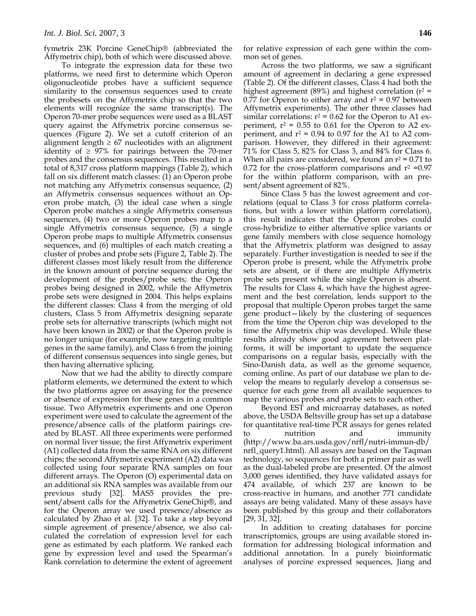fymetrix 23K Porcine GeneChip® (abbreviated the Affymetrix chip), both of which were discussed above.

To integrate the expression data for these two platforms, we need first to determine which Operon oligonucleotide probes have a sufficient sequence similarity to the consensus sequences used to create the probesets on the Affymetrix chip so that the two elements will recognize the same transcript(s). The Operon 70-mer probe sequences were used as a BLAST query against the Affymetrix porcine consensus sequences (Figure 2). We set a cutoff criterion of an alignment length  $\geq 67$  nucleotides with an alignment identity of  $\geq 97\%$  for pairings between the 70-mer probes and the consensus sequences. This resulted in a total of 8,317 cross platform mappings (Table 2), which fall on six different match classes: (1) an Operon probe not matching any Affymetrix consensus sequence, (2) an Affymetrix consensus sequences without an Operon probe match, (3) the ideal case when a single Operon probe matches a single Affymetrix consensus sequences, (4) two or more Operon probes map to a single Affymetrix consensus sequence, (5) a single Operon probe maps to multiple Affymetrix consensus sequences, and (6) multiples of each match creating a cluster of probes and probe sets (Figure 2, Table 2). The different classes most likely result from the difference in the known amount of porcine sequence during the development of the probes/probe sets; the Operon probes being designed in 2002, while the Affymetrix probe sets were designed in 2004. This helps explains the different classes: Class 4 from the merging of old clusters, Class 5 from Affymetrix designing separate probe sets for alternative transcripts (which might not have been known in 2002) or that the Operon probe is no longer unique (for example, now targeting multiple genes in the same family), and Class 6 from the joining of different consensus sequences into single genes, but then having alternative splicing.

Now that we had the ability to directly compare platform elements, we determined the extent to which the two platforms agree on assaying for the presence or absence of expression for these genes in a common tissue. Two Affymetrix experiments and one Operon experiment were used to calculate the agreement of the presence/absence calls of the platform pairings created by BLAST. All three experiments were performed on normal liver tissue; the first Affymetrix experiment (A1) collected data from the same RNA on six different chips; the second Affymetrix experiment (A2) data was collected using four separate RNA samples on four different arrays. The Operon (O) experimental data on an additional six RNA samples was available from our previous study [32]. MAS5 provides the present/absent calls for the Affymetrix GeneChip®, and for the Operon array we used presence/absence as calculated by Zhao et al. [32]. To take a step beyond simple agreement of presence/absence, we also calculated the correlation of expression level for each gene as estimated by each platform. We ranked each gene by expression level and used the Spearman's Rank correlation to determine the extent of agreement

for relative expression of each gene within the common set of genes.

Across the two platforms, we saw a significant amount of agreement in declaring a gene expressed (Table 2). Of the different classes, Class 4 had both the highest agreement (89%) and highest correlation ( $r^2$  = 0.77 for Operon to either array and  $r^2$  = 0.97 between Affymetrix experiments). The other three classes had similar correlations:  $r^2 = 0.62$  for the Operon to A1 experiment,  $r^2 = 0.55$  to 0.61 for the Operon to A2 experiment, and  $r^2$  = 0.94 to 0.97 for the A1 to A2 comparison. However, they differed in their agreement: 71% for Class 5, 82% for Class 3, and 84% for Class 6. When all pairs are considered, we found an  $r^2 = 0.71$  to 0.72 for the cross-platform comparisons and  $r^2 = 0.97$ for the within platform comparison, with an present/absent agreement of 82%.

Since Class 5 has the lowest agreement and correlations (equal to Class 3 for cross platform correlations, but with a lower within platform correlation), this result indicates that the Operon probes could cross-hybridize to either alternative splice variants or gene family members with close sequence homology that the Affymetrix platform was designed to assay separately. Further investigation is needed to see if the Operon probe is present, while the Affymetrix probe sets are absent, or if there are multiple Affymetrix probe sets present while the single Operon is absent. The results for Class 4, which have the highest agreement and the best correlation, lends support to the proposal that multiple Operon probes target the same gene product—likely by the clustering of sequences from the time the Operon chip was developed to the time the Affymetrix chip was developed. While these results already show good agreement between platforms, it will be important to update the sequence comparisons on a regular basis, especially with the Sino-Danish data, as well as the genome sequence, coming online. As part of our database we plan to develop the means to regularly develop a consensus sequence for each gene from all available sequences to map the various probes and probe sets to each other.

Beyond EST and microarray databases, as noted above, the USDA Beltsville group has set up a database for quantitative real-time PCR assays for genes related to nutrition and immunity (http://www.ba.ars.usda.gov/nrfl/nutri-immun-db/ nrfl\_query1.html). All assays are based on the Taqman technology, so sequences for both a primer pair as well as the dual-labeled probe are presented. Of the almost 3,000 genes identified, they have validated assays for 474 available, of which 237 are known to be cross-reactive in humans, and another 771 candidate assays are being validated. Many of these assays have been published by this group and their collaborators [29, 31, 32].

In addition to creating databases for porcine transcriptomics, groups are using available stored information for addressing biological information and additional annotation. In a purely bioinformatic analyses of porcine expressed sequences, Jiang and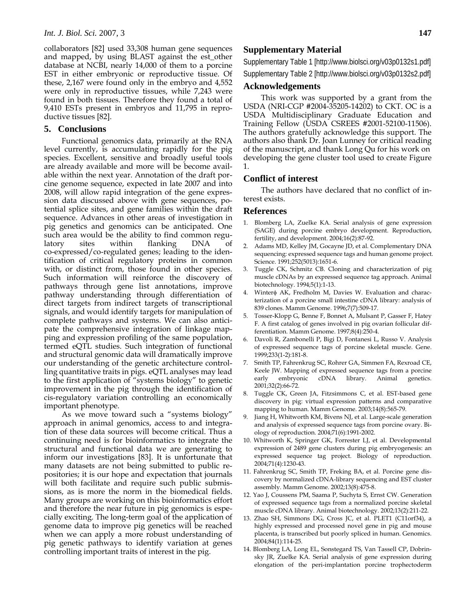collaborators [82] used 33,308 human gene sequences and mapped, by using BLAST against the est\_other database at NCBI, nearly 14,000 of them to a porcine EST in either embryonic or reproductive tissue. Of these, 2,167 were found only in the embryo and 4,552 were only in reproductive tissues, while 7,243 were found in both tissues. Therefore they found a total of 9,410 ESTs present in embryos and 11,795 in reproductive tissues [82].

#### **5. Conclusions**

Functional genomics data, primarily at the RNA level currently, is accumulating rapidly for the pig species. Excellent, sensitive and broadly useful tools are already available and more will be become available within the next year. Annotation of the draft porcine genome sequence, expected in late 2007 and into 2008, will allow rapid integration of the gene expression data discussed above with gene sequences, potential splice sites, and gene families within the draft sequence. Advances in other areas of investigation in pig genetics and genomics can be anticipated. One such area would be the ability to find common regulatory sites within flanking DNA of co-expressed/co-regulated genes; leading to the identification of critical regulatory proteins in common with, or distinct from, those found in other species. Such information will reinforce the discovery of pathways through gene list annotations, improve pathway understanding through differentiation of direct targets from indirect targets of transcriptional signals, and would identify targets for manipulation of complete pathways and systems. We can also anticipate the comprehensive integration of linkage mapping and expression profiling of the same population, termed eQTL studies. Such integration of functional and structural genomic data will dramatically improve our understanding of the genetic architecture controlling quantitative traits in pigs. eQTL analyses may lead to the first application of "systems biology" to genetic improvement in the pig through the identification of cis-regulatory variation controlling an economically important phenotype.

As we move toward such a "systems biology" approach in animal genomics, access to and integration of these data sources will become critical. Thus a continuing need is for bioinformatics to integrate the structural and functional data we are generating to inform our investigations [83]. It is unfortunate that many datasets are not being submitted to public repositories; it is our hope and expectation that journals will both facilitate and require such public submissions, as is more the norm in the biomedical fields. Many groups are working on this bioinformatics effort and therefore the near future in pig genomics is especially exciting. The long-term goal of the application of genome data to improve pig genetics will be reached when we can apply a more robust understanding of pig genetic pathways to identify variation at genes controlling important traits of interest in the pig.

#### **Supplementary Material**

Supplementary Table 1 [http://www.biolsci.org/v03p0132s1.pdf] Supplementary Table 2 [http://www.biolsci.org/v03p0132s2.pdf]

#### **Acknowledgements**

This work was supported by a grant from the USDA (NRI-CGP #2004-35205-14202) to CKT. OC is a USDA Multidisciplinary Graduate Education and Training Fellow (USDA CSREES #2001-52100-11506). The authors gratefully acknowledge this support. The authors also thank Dr. Joan Lunney for critical reading of the manuscript, and thank Long Qu for his work on developing the gene cluster tool used to create Figure 1.

#### **Conflict of interest**

The authors have declared that no conflict of interest exists.

#### **References**

- 1. Blomberg LA, Zuelke KA. Serial analysis of gene expression (SAGE) during porcine embryo development. Reproduction, fertility, and development. 2004;16(2):87-92.
- 2. Adams MD, Kelley JM, Gocayne JD, et al. Complementary DNA sequencing: expressed sequence tags and human genome project. Science. 1991;252(5013):1651-6.
- 3. Tuggle CK, Schmitz CB. Cloning and characterization of pig muscle cDNAs by an expressed sequence tag approach. Animal biotechnology. 1994;5(1):1-13.
- 4. Winterφ AK, Fredholm M, Davies W. Evaluation and characterization of a porcine small intestine cDNA library: analysis of 839 clones. Mamm Genome. 1996;7(7):509-17.
- 5. Tosser-Klopp G, Benne F, Bonnet A, Mulsant P, Gasser F, Hatey F. A first catalog of genes involved in pig ovarian follicular differentiation. Mamm Genome. 1997;8(4):250-4.
- 6. Davoli R, Zambonelli P, Bigi D, Fontanesi L, Russo V. Analysis of expressed sequence tags of porcine skeletal muscle. Gene. 1999;233(1-2):181-8.
- 7. Smith TP, Fahrenkrug SC, Rohrer GA, Simmen FA, Rexroad CE, Keele JW. Mapping of expressed sequence tags from a porcine early embryonic cDNA library. Animal genetics. 2001;32(2):66-72.
- Tuggle CK, Green JA, Fitzsimmons C, et al. EST-based gene discovery in pig: virtual expression patterns and comparative mapping to human. Mamm Genome. 2003;14(8):565-79.
- 9. Jiang H, Whitworth KM, Bivens NJ, et al. Large-scale generation and analysis of expressed sequence tags from porcine ovary. Biology of reproduction. 2004;71(6):1991-2002.
- 10. Whitworth K, Springer GK, Forrester LJ, et al. Developmental expression of 2489 gene clusters during pig embryogenesis: an expressed sequence tag project. Biology of reproduction. 2004;71(4):1230-43.
- 11. Fahrenkrug SC, Smith TP, Freking BA, et al. Porcine gene discovery by normalized cDNA-library sequencing and EST cluster assembly. Mamm Genome. 2002;13(8):475-8.
- 12. Yao J, Coussens PM, Saama P, Suchyta S, Ernst CW. Generation of expressed sequence tags from a normalized porcine skeletal muscle cDNA library. Animal biotechnology. 2002;13(2):211-22.
- 13. Zhao SH, Simmons DG, Cross JC, et al. PLET1 (C11orf34), a highly expressed and processed novel gene in pig and mouse placenta, is transcribed but poorly spliced in human. Genomics. 2004;84(1):114-25.
- 14. Blomberg LA, Long EL, Sonstegard TS, Van Tassell CP, Dobrinsky JR, Zuelke KA. Serial analysis of gene expression during elongation of the peri-implantation porcine trophectoderm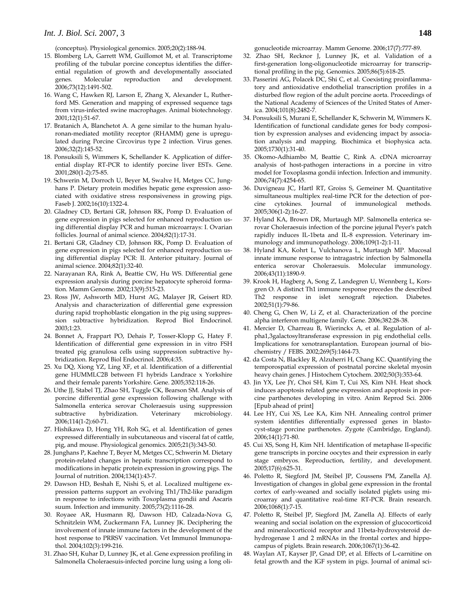(conceptus). Physiological genomics. 2005;20(2):188-94.

- 15. Blomberg LA, Garrett WM, Guillomot M, et al. Transcriptome profiling of the tubular porcine conceptus identifies the differential regulation of growth and developmentally associated genes. Molecular reproduction and development. 2006;73(12):1491-502.
- 16. Wang C, Hawken RJ, Larson E, Zhang X, Alexander L, Rutherford MS. Generation and mapping of expressed sequence tags from virus-infected swine macrophages. Animal biotechnology. 2001;12(1):51-67.
- 17. Bratanich A, Blanchetot A. A gene similar to the human hyaluronan-mediated motility receptor (RHAMM) gene is upregulated during Porcine Circovirus type 2 infection. Virus genes. 2006;32(2):145-52.
- 18. Ponsuksili S, Wimmers K, Schellander K. Application of differential display RT-PCR to identify porcine liver ESTs. Gene. 2001;280(1-2):75-85.
- 19. Schwerin M, Dorroch U, Beyer M, Swalve H, Metges CC, Junghans P. Dietary protein modifies hepatic gene expression associated with oxidative stress responsiveness in growing pigs. Faseb J. 2002;16(10):1322-4.
- 20. Gladney CD, Bertani GR, Johnson RK, Pomp D. Evaluation of gene expression in pigs selected for enhanced reproduction using differential display PCR and human microarrays: I. Ovarian follicles. Journal of animal science. 2004;82(1):17-31.
- 21. Bertani GR, Gladney CD, Johnson RK, Pomp D. Evaluation of gene expression in pigs selected for enhanced reproduction using differential display PCR: II. Anterior pituitary. Journal of animal science. 2004;82(1):32-40.
- 22. Narayanan RA, Rink A, Beattie CW, Hu WS. Differential gene expression analysis during porcine hepatocyte spheroid formation. Mamm Genome. 2002;13(9):515-23.
- 23. Ross JW, Ashworth MD, Hurst AG, Malayer JR, Geisert RD. Analysis and characterization of differential gene expression during rapid trophoblastic elongation in the pig using suppression subtractive hybridization. Reprod Biol Endocrinol. 2003;1:23.
- 24. Bonnet A, Frappart PO, Dehais P, Tosser-Klopp G, Hatey F. Identification of differential gene expression in in vitro FSH treated pig granulosa cells using suppression subtractive hybridization. Reprod Biol Endocrinol. 2006;4:35.
- 25. Xu DQ, Xiong YZ, Ling XF, et al. Identification of a differential gene HUMMLC2B between F1 hybrids Landrace x Yorkshire and their female parents Yorkshire. Gene. 2005;352:118-26.
- 26. Uthe JJ, Stabel TJ, Zhao SH, Tuggle CK, Bearson SM. Analysis of porcine differential gene expression following challenge with Salmonella enterica serovar Choleraesuis using suppression subtractive hybridization. Veterinary microbiology. 2006;114(1-2):60-71.
- 27. Hishikawa D, Hong YH, Roh SG, et al. Identification of genes expressed differentially in subcutaneous and visceral fat of cattle, pig, and mouse. Physiological genomics. 2005;21(3):343-50.
- 28. Junghans P, Kaehne T, Beyer M, Metges CC, Schwerin M. Dietary protein-related changes in hepatic transcription correspond to modifications in hepatic protein expression in growing pigs. The Journal of nutrition. 2004;134(1):43-7.
- 29. Dawson HD, Beshah E, Nishi S, et al. Localized multigene expression patterns support an evolving Th1/Th2-like paradigm in response to infections with Toxoplasma gondii and Ascaris suum. Infection and immunity. 2005;73(2):1116-28.
- 30. Royaee AR, Husmann RJ, Dawson HD, Calzada-Nova G, Schnitzlein WM, Zuckermann FA, Lunney JK. Deciphering the involvement of innate immune factors in the development of the host response to PRRSV vaccination. Vet Immunol Immunopathol. 2004;102(3):199-216.
- 31. Zhao SH, Kuhar D, Lunney JK, et al. Gene expression profiling in Salmonella Choleraesuis-infected porcine lung using a long oli-

gonucleotide microarray. Mamm Genome. 2006;17(7):777-89.

- 32. Zhao SH, Recknor J, Lunney JK, et al. Validation of a first-generation long-oligonucleotide microarray for transcriptional profiling in the pig. Genomics. 2005;86(5):618-25.
- 33. Passerini AG, Polacek DC, Shi C, et al. Coexisting proinflammatory and antioxidative endothelial transcription profiles in a disturbed flow region of the adult porcine aorta. Proceedings of the National Academy of Sciences of the United States of America. 2004;101(8):2482-7.
- 34. Ponsuksili S, Murani E, Schellander K, Schwerin M, Wimmers K. Identification of functional candidate genes for body composition by expression analyses and evidencing impact by association analysis and mapping. Biochimica et biophysica acta. 2005;1730(1):31-40.
- 35. Okomo-Adhiambo M, Beattie C, Rink A. cDNA microarray analysis of host-pathogen interactions in a porcine in vitro model for Toxoplasma gondii infection. Infection and immunity. 2006;74(7):4254-65.
- 36. Duvigneau JC, Hartl RT, Groiss S, Gemeiner M. Quantitative simultaneous multiplex real-time PCR for the detection of porcine cytokines. Journal of immunological methods. 2005;306(1-2):16-27.
- 37. Hyland KA, Brown DR, Murtaugh MP. Salmonella enterica serovar Choleraesuis infection of the porcine jejunal Peyer's patch rapidly induces IL-1beta and IL-8 expression. Veterinary immunology and immunopathology. 2006;109(1-2):1-11.
- 38. Hyland KA, Kohrt L, Vulchanova L, Murtaugh MP. Mucosal innate immune response to intragastric infection by Salmonella enterica serovar Choleraesuis. Molecular immunology. 2006;43(11):1890-9.
- 39. Krook H, Hagberg A, Song Z, Landegren U, Wennberg L, Korsgren O. A distinct Th1 immune response precedes the described Th2 response in islet xenograft rejection. Diabetes. 2002;51(1):79-86.
- 40. Cheng G, Chen W, Li Z, et al. Characterization of the porcine alpha interferon multigene family. Gene. 2006;382:28-38.
- 41. Mercier D, Charreau B, Wierinckx A, et al. Regulation of alpha1,3galactosyltransferase expression in pig endothelial cells. Implications for xenotransplantation. European journal of biochemistry / FEBS. 2002;269(5):1464-73.
- 42. da Costa N, Blackley R, Alzuherri H, Chang KC. Quantifying the temporospatial expression of postnatal porcine skeletal myosin heavy chain genes. J Histochem Cytochem. 2002;50(3):353-64.
- 43. Jin YX, Lee JY, Choi SH, Kim T, Cui XS, Kim NH. Heat shock induces apoptosis related gene expression and apoptosis in porcine parthenotes developing in vitro. Anim Reprod Sci. 2006 [Epub ahead of print]
- 44. Lee HY, Cui XS, Lee KA, Kim NH. Annealing control primer system identifies differentially expressed genes in blastocyst-stage porcine parthenotes. Zygote (Cambridge, England). 2006;14(1):71-80.
- 45. Cui XS, Song H, Kim NH. Identification of metaphase II-specific gene transcripts in porcine oocytes and their expression in early stage embryos. Reproduction, fertility, and development. 2005;17(6):625-31.
- 46. Poletto R, Siegford JM, Steibel JP, Coussens PM, Zanella AJ. Investigation of changes in global gene expression in the frontal cortex of early-weaned and socially isolated piglets using microarray and quantitative real-time RT-PCR. Brain research. 2006;1068(1):7-15.
- 47. Poletto R, Steibel JP, Siegford JM, Zanella AJ. Effects of early weaning and social isolation on the expression of glucocorticoid and mineralocorticoid receptor and 11beta-hydroxysteroid dehydrogenase 1 and 2 mRNAs in the frontal cortex and hippocampus of piglets. Brain research. 2006;1067(1):36-42.
- 48. Waylan AT, Kayser JP, Gnad DP, et al. Effects of L-carnitine on fetal growth and the IGF system in pigs. Journal of animal sci-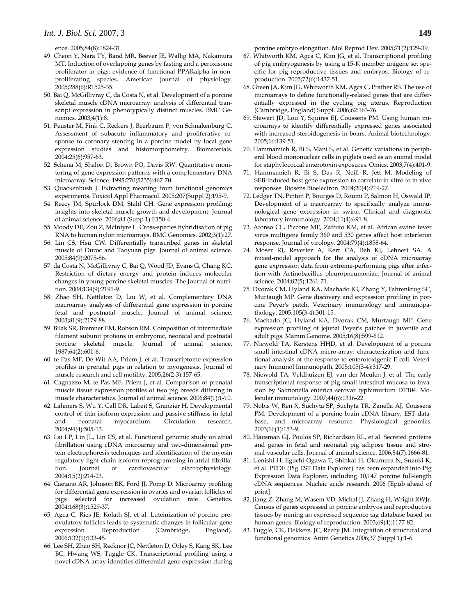ence. 2005;84(8):1824-31.

- 49. Cheon Y, Nara TY, Band MR, Beever JE, Wallig MA, Nakamura MT. Induction of overlapping genes by fasting and a peroxisome proliferator in pigs: evidence of functional PPARalpha in nonproliferating species. American journal of physiology. 2005;288(6):R1525-35.
- 50. Bai Q, McGillivray C, da Costa N, et al. Development of a porcine skeletal muscle cDNA microarray: analysis of differential transcript expression in phenotypically distinct muscles. BMC Genomics. 2003;4(1):8.
- 51. Peuster M, Fink C, Reckers J, Beerbaum P, von Schnakenburg C. Assessment of subacute inflammatory and proliferative response to coronary stenting in a porcine model by local gene expression studies and histomorphometry. Biomaterials. 2004;25(6):957-63.
- 52. Schena M, Shalon D, Brown PO, Davis RW. Quantitative monitoring of gene expression patterns with a complementary DNA microarray. Science. 1995;270(5235):467-70.
- 53. Quackenbush J. Extracting meaning from functional genomics experiments. Toxicol Appl Pharmacol. 2005;207(Suppl 2):195-9.
- 54. Reecy JM, Spurlock DM, Stahl CH. Gene expression profiling: insights into skeletal muscle growth and development. Journal of animal science. 2006;84 (Supp 1):E150-4.
- 55. Moody DE, Zou Z, McIntyre L. Cross-species hybridisation of pig RNA to human nylon microarrays. BMC Genomics. 2002;3(1):27.
- 56. Lin CS, Hsu CW. Differentially transcribed genes in skeletal muscle of Duroc and Taoyuan pigs. Journal of animal science. 2005;84(9):2075-86.
- 57. da Costa N, McGillivray C, Bai Q, Wood JD, Evans G, Chang KC. Restriction of dietary energy and protein induces molecular changes in young porcine skeletal muscles. The Journal of nutrition. 2004;134(9):2191-9.
- 58. Zhao SH, Nettleton D, Liu W, et al. Complementary DNA macroarray analyses of differential gene expression in porcine fetal and postnatal muscle. Journal of animal science. 2003;81(9):2179-88.
- 59. Bilak SR, Bremner EM, Robson RM. Composition of intermediate filament subunit proteins in embryonic, neonatal and postnatal porcine skeletal muscle. Journal of animal science. 1987;64(2):601-6.
- 60. te Pas MF, De Wit AA, Priem J, et al. Transcriptome expression profiles in prenatal pigs in relation to myogenesis. Journal of muscle research and cell motility. 2005;26(2-3):157-65.
- 61. Cagnazzo M, te Pas MF, Priem J, et al. Comparison of prenatal muscle tissue expression profiles of two pig breeds differing in muscle characteristics. Journal of animal science. 2006;84(1):1-10.
- 62. Lahmers S, Wu Y, Call DR, Labeit S, Granzier H. Developmental control of titin isoform expression and passive stiffness in fetal and neonatal myocardium. Circulation research. 2004;94(4):505-13.
- 63. Lai LP, Lin JL, Lin CS, et al. Functional genomic study on atrial fibrillation using cDNA microarray and two-dimensional protein electrophoresis techniques and identification of the myosin regulatory light chain isoform reprogramming in atrial fibrillation. Journal of cardiovascular electrophysiology. 2004;15(2):214-23.
- 64. Caetano AR, Johnson RK, Ford JJ, Pomp D. Microarray profiling for differential gene expression in ovaries and ovarian follicles of pigs selected for increased ovulation rate. Genetics. 2004;168(3):1529-37.
- 65. Agca C, Ries JE, Kolath SJ, et al. Luteinization of porcine preovulatory follicles leads to systematic changes in follicular gene expression. Reproduction (Cambridge, England). 2006;132(1):133-45.
- 66. Lee SH, Zhao SH, Recknor JC, Nettleton D, Orley S, Kang SK, Lee BC, Hwang WS, Tuggle CK. Transcriptional profiling using a novel cDNA array identifies differential gene expression during

porcine embryo elongation. Mol Reprod Dev. 2005;71(2):129-39.

- 67. Whitworth KM, Agca C, Kim JG, et al. Transcriptional profiling of pig embryogenesis by using a 15-K member unigene set specific for pig reproductive tissues and embryos. Biology of reproduction. 2005;72(6):1437-51.
- 68. Green JA, Kim JG, Whitworth KM, Agca C, Prather RS. The use of microarrays to define functionally-related genes that are differentially expressed in the cycling pig uterus. Reproduction (Cambridge, England) Suppl. 2006;62:163-76.
- 69. Stewart JD, Lou Y, Squires EJ, Coussens PM. Using human microarrays to identify differentially expressed genes associated with increased steroidogenesis in boars. Animal biotechnology. 2005;16:139-51.
- 70. Hammamieh R, Bi S, Mani S, et al. Genetic variations in peripheral blood mononuclear cells in piglets used as an animal model for staphylococcal enterotoxin exposures. Omics. 2003;7(4):401-9.
- 71. Hammamieh R, Bi S, Das R, Neill R, Jett M. Modeling of SEB-induced host gene expression to correlate in vitro to in vivo responses. Biosens Bioelectron. 2004;20(4):719-27.
- 72. Ledger TN, Pinton P, Bourges D, Roumi P, Salmon H, Oswald IP. Development of a macroarray to specifically analyze immunological gene expression in swine. Clinical and diagnostic laboratory immunology. 2004;11(4):691-8.
- 73. Afonso CL, Piccone ME, Zaffuto KM, et al. African swine fever virus multigene family 360 and 530 genes affect host interferon response. Journal of virology. 2004;79(4):1858-64.
- 74. Moser RJ, Reverter A, Kerr CA, Beh KJ, Lehnert SA. A mixed-model approach for the analysis of cDNA microarray gene expression data from extreme-performing pigs after infection with Actinobacillus pleuropneumoniae. Journal of animal science. 2004;82(5):1261-71.
- 75. Dvorak CM, Hyland KA, Machado JG, Zhang Y, Fahrenkrug SC, Murtaugh MP. Gene discovery and expression profiling in porcine Peyer's patch. Veterinary immunology and immunopathology. 2005;105(3-4):301-15.
- 76. Machado JG, Hyland KA, Dvorak CM, Murtaugh MP. Gene expression profiling of jejunal Peyer's patches in juvenile and adult pigs. Mamm Genome. 2005;16(8):599-612.
- 77. Niewold TA, Kerstens HHD, et al. Development of a porcine small intestinal cDNA micro-array: characterization and functional analysis of the response to enterotoxigenic E coli. Veterinary Immunol Immunopath. 2005;105(3-4):317-29.
- 78. Niewold TA, Veldhuizen EJ, van der Meulen J, et al. The early transcriptional response of pig small intestinal mucosa to invasion by Salmonella enterica serovar typhimurium DT104. Molecular immunology. 2007;44(6):1316-22.
- 79. Nobis W, Ren X, Suchyta SP, Suchyta TR, Zanella AJ, Coussens PM. Development of a porcine brain cDNA library, EST database, and microarray resource. Physiological genomics. 2003;16(1):153-9.
- 80. Hausman GJ, Poulos SP, Richardson RL, et al. Secreted proteins and genes in fetal and neonatal pig adipose tissue and stromal-vascular cells. Journal of animal science. 2006;84(7):1666-81.
- 81. Uenishi H, Eguchi-Ogawa T, Shinkai H, Okumura N, Suzuki K, et al. PEDE (Pig EST Data Explorer) has been expanded into Pig Expression Data Explorer, including 10,147 porcine full-length cDNA sequences. Nucleic acids research. 2006 [Epub ahead of print]
- 82. Jiang Z, Zhang M, Wasem VD, Michal JJ, Zhang H, Wright RWJr. Census of genes expressed in porcine embryos and reproductive tissues by mining an expressed sequence tag database based on human genes. Biology of reproduction. 2003;69(4):1177-82.
- 83. Tuggle, CK, Dekkers, JC, Reecy JM. Integration of structural and functional genomics. Anim Genetics 2006;37 (Suppl 1):1-6.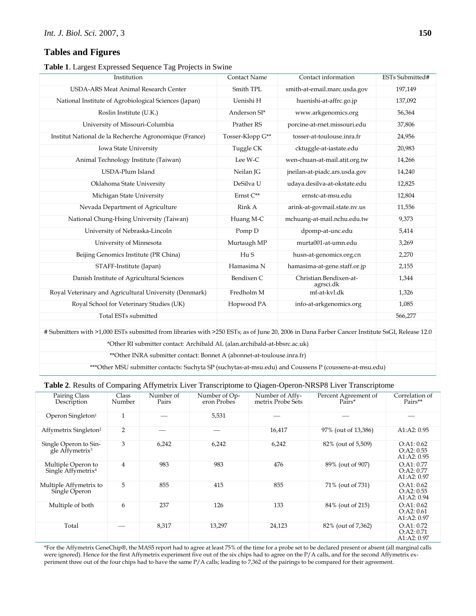## **Tables and Figures**

**Table 1**. Largest Expressed Sequence Tag Projects in Swine

| Institution                                                                                                                                   | <b>Contact Name</b> | Contact information                 | ESTs Submitted# |
|-----------------------------------------------------------------------------------------------------------------------------------------------|---------------------|-------------------------------------|-----------------|
| USDA-ARS Meat Animal Research Center                                                                                                          | Smith TPL           | smith-at-email.marc.usda.gov        | 197,149         |
| National Institute of Agrobiological Sciences (Japan)                                                                                         | Uenishi H           | huenishi-at-affrc.go.jp             | 137,092         |
| Roslin Institute (U.K.)                                                                                                                       | Anderson SI*        | www.arkgenomics.org                 | 56,364          |
| University of Missouri-Columbia                                                                                                               | Prather RS          | porcine-at-rnet.missouri.edu        | 37,806          |
| Institut National de la Recherche Agronomique (France)                                                                                        | Tosser-Klopp G**    | tosser-at-toulouse.inra.fr          | 24,956          |
| Iowa State University                                                                                                                         | Tuggle CK           | cktuggle-at-iastate.edu             | 20,983          |
| Animal Technology Institute (Taiwan)                                                                                                          | Lee W-C             | wen-chuan-at-mail.atit.org.tw       | 14,266          |
| USDA-Plum Island                                                                                                                              | Neilan JG           | jneilan-at-piadc.ars.usda.gov       | 14,240          |
| Oklahoma State University                                                                                                                     | DeSilva U           | udaya.desilva-at-okstate.edu        | 12,825          |
| Michigan State University                                                                                                                     | Ernst C**           | ernstc-at-msu.edu                   | 12,804          |
| Nevada Department of Agriculture                                                                                                              | Rink A              | arink-at-govmail.state.nv.us        | 11,556          |
| National Chung-Hsing University (Taiwan)                                                                                                      | Huang M-C           | mchuang-at-mail.nchu.edu.tw         | 9,373           |
| University of Nebraska-Lincoln                                                                                                                | Pomp D              | dpomp-at-unc.edu                    | 5,414           |
| University of Minnesota                                                                                                                       | Murtaugh MP         | murta001-at-umn.edu                 | 3,269           |
| Beijing Genomics Institute (PR China)                                                                                                         | HuS                 | husn-at-genomics.org.cn             | 2,270           |
| STAFF-Institute (Japan)                                                                                                                       | Hamasima N          | hamasima-at-gene.staff.or.jp        | 2,155           |
| Danish Institute of Agricultural Sciences                                                                                                     | Bendixen C          | Christian.Bendixen-at-<br>agrsci.dk | 1,344           |
| Royal Veterinary and Agricultural University (Denmark)                                                                                        | Fredholm M          | mf-at-kvl.dk                        | 1,326           |
| Royal School for Veterinary Studies (UK)                                                                                                      | Hopwood PA          | info-at-arkgenomics.org             | 1,085           |
| Total ESTs submitted                                                                                                                          |                     |                                     | 566,277         |
| f Submitters with 51,000 ESTs submitted from libraries with 5250 ESTs; as of June 20, 2006 in Dana Farber Cancer Institute ScCI, Release 12,0 |                     |                                     |                 |

Submitters with >1,000 ESTs submitted from libraries with >250 ESTs; as of June 20, 2006 in Dana Farber Cancer Institute S

\*Other RI submitter contact: Archibald AL (alan.archibald-at-bbsrc.ac.uk)

\*\*Other INRA submitter contact: Bonnet A (abonnet-at-toulouse.inra.fr)

\*\*\*Other MSU submitter contacts: Suchyta SP (suchytas-at-msu.edu) and Coussens P (coussens-at-msu.edu)

|  |  |  | Table 2. Results of Comparing Affymetrix Liver Transcriptome to Qiagen-Operon-NRSP8 Liver Transcriptome |  |
|--|--|--|---------------------------------------------------------------------------------------------------------|--|
|  |  |  |                                                                                                         |  |

| Pairing Class<br>Description                         | Class<br>Number | Number of<br>Pairs | Number of Op-<br>eron Probes | Number of Affy-<br>metrix Probe Sets | Percent Agreement of<br>Pairs* | Correlation of<br>Pairs**                    |
|------------------------------------------------------|-----------------|--------------------|------------------------------|--------------------------------------|--------------------------------|----------------------------------------------|
| Operon Singleton <sup>1</sup>                        | $\mathbf{1}$    |                    | 5,531                        |                                      |                                |                                              |
| Affymetrix Singleton <sup>2</sup>                    | $\overline{2}$  |                    |                              | 16,417                               | 97% (out of 13,386)            | A1:A2: 0.95                                  |
| Single Operon to Sin-<br>gle Affymetrix <sup>3</sup> | 3               | 6,242              | 6,242                        | 6,242                                | 82% (out of 5,509)             | O: A1: 0.62<br>O: A2: 0.55<br>A1:A2: 0.95    |
| Multiple Operon to<br>Single Affymetrix <sup>4</sup> | 4               | 983                | 983                          | 476                                  | 89% (out of 907)               | O: A1: 0.77<br>O: A2: 0.77<br>A1:A2: 0.97    |
| Multiple Affymetrix to<br>Single Operon              | 5               | 855                | 415                          | 855                                  | 71% (out of 731)               | O:AI: 0.62<br>O: A2: 0.55<br>A1: A2: 0.94    |
| Multiple of both                                     | 6               | 237                | 126                          | 133                                  | 84% (out of 215)               | O:AI: 0.62<br>$O:$ A2: $0.61$<br>A1:A2: 0.97 |
| Total                                                |                 | 8,317              | 13,297                       | 24,123                               | 82% (out of 7,362)             | O: A1: 0.72<br>O: A2: 0.71<br>A1:A2: 0.97    |

\*For the Affymetrix GeneChip®, the MAS5 report had to agree at least 75% of the time for a probe set to be declared present or absent (all marginal calls were ignored). Hence for the first Affymetrix experiment five out of the six chips had to agree on the P/A calls, and for the second Affymetrix experiment three out of the four chips had to have the same P/A calls; leading to 7,362 of the pairings to be compared for their agreement.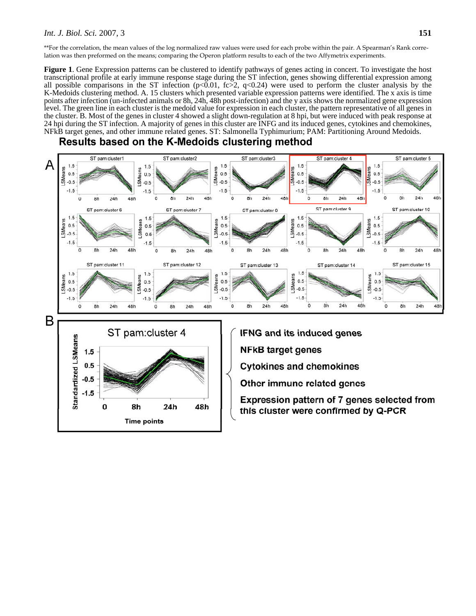#### *Int. J. Biol. Sci.* 2007, 3 **151**

\*\*For the correlation, the mean values of the log normalized raw values were used for each probe within the pair. A Spearman's Rank correlation was then preformed on the means; comparing the Operon platform results to each of the two Affymetrix experiments.

**Figure 1**. Gene Expression patterns can be clustered to identify pathways of genes acting in concert. To investigate the host transcriptional profile at early immune response stage during the ST infection, genes showing differential expression among all possible comparisons in the ST infection ( $p<0.01$ , fc>2, q<0.24) were used to perform the cluster analysis by the K-Medoids clustering method. A. 15 clusters which presented variable expression patterns were identified. The x axis is time points after infection (un-infected animals or 8h, 24h, 48h post-infection) and the y axis shows the normalized gene expression level. The green line in each cluster is the medoid value for expression in each cluster, the pattern representative of all genes in the cluster. B. Most of the genes in cluster 4 showed a slight down-regulation at 8 hpi, but were induced with peak response at 24 hpi during the ST infection. A majority of genes in this cluster are INFG and its induced genes, cytokines and chemokines, NFkB target genes, and other immune related genes. ST: Salmonella Typhimurium; PAM: Partitioning Around Medoids.

## Results based on the K-Medoids clustering method